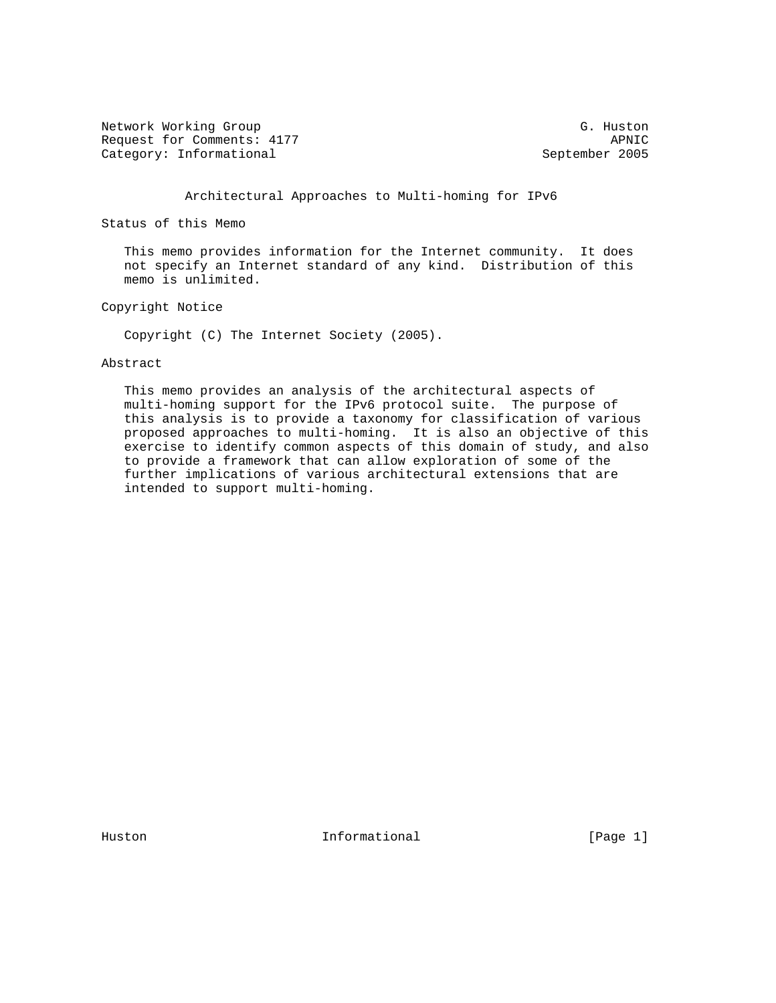Network Working Group G. Huston G. Huston Request for Comments: 4177<br>
Category: Informational and September 2005 Category: Informational

Architectural Approaches to Multi-homing for IPv6

Status of this Memo

 This memo provides information for the Internet community. It does not specify an Internet standard of any kind. Distribution of this memo is unlimited.

Copyright Notice

Copyright (C) The Internet Society (2005).

Abstract

 This memo provides an analysis of the architectural aspects of multi-homing support for the IPv6 protocol suite. The purpose of this analysis is to provide a taxonomy for classification of various proposed approaches to multi-homing. It is also an objective of this exercise to identify common aspects of this domain of study, and also to provide a framework that can allow exploration of some of the further implications of various architectural extensions that are intended to support multi-homing.

Huston **Informational Informational** [Page 1]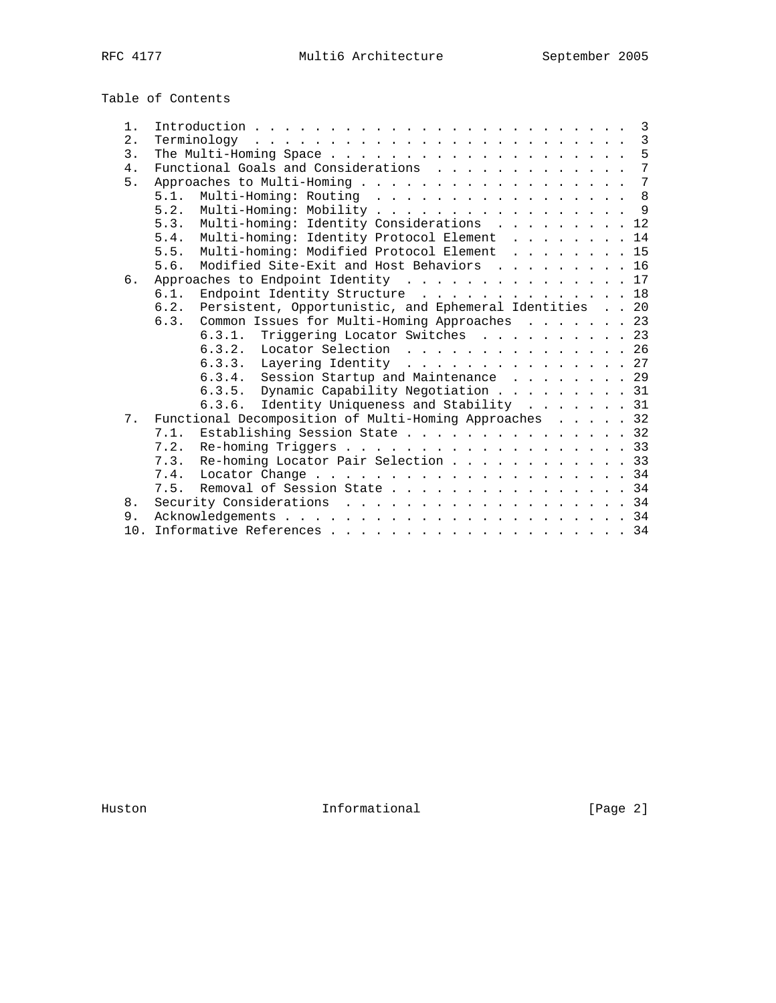Table of Contents

| 1. |                                                             |
|----|-------------------------------------------------------------|
| 2. |                                                             |
| 3. |                                                             |
| 4. | $\overline{7}$<br>Functional Goals and Considerations       |
| 5. | Approaches to Multi-Homing 7                                |
|    | Multi-Homing: Routing 8<br>5.1.                             |
|    | 5.2. Multi-Homing: Mobility 9                               |
|    | Multi-homing: Identity Considerations 12<br>5.3.            |
|    | Multi-homing: Identity Protocol Element 14<br>5.4.          |
|    | Multi-homing: Modified Protocol Element 15<br>5.5.          |
|    | Modified Site-Exit and Host Behaviors 16<br>5.6.            |
| 6. | Approaches to Endpoint Identity 17                          |
|    | Endpoint Identity Structure 18<br>6.1.                      |
|    | 6.2. Persistent, Opportunistic, and Ephemeral Identities 20 |
|    | Common Issues for Multi-Homing Approaches 23<br>6.3.        |
|    | 6.3.1. Triggering Locator Switches 23                       |
|    | 6.3.2. Locator Selection 26                                 |
|    | 6.3.3. Layering Identity 27                                 |
|    | 6.3.4. Session Startup and Maintenance 29                   |
|    | 6.3.5. Dynamic Capability Negotiation 31                    |
|    | 6.3.6. Identity Uniqueness and Stability 31                 |
| 7. | Functional Decomposition of Multi-Homing Approaches 32      |
|    | 7.1. Establishing Session State 32                          |
|    | 7.2. Re-homing Triggers 33                                  |
|    | 7.3. Re-homing Locator Pair Selection 33                    |
|    |                                                             |
|    |                                                             |
|    | 7.5. Removal of Session State 34                            |
| 8. | Security Considerations 34                                  |
| 9. |                                                             |
|    |                                                             |

Huston **Informational Informational** [Page 2]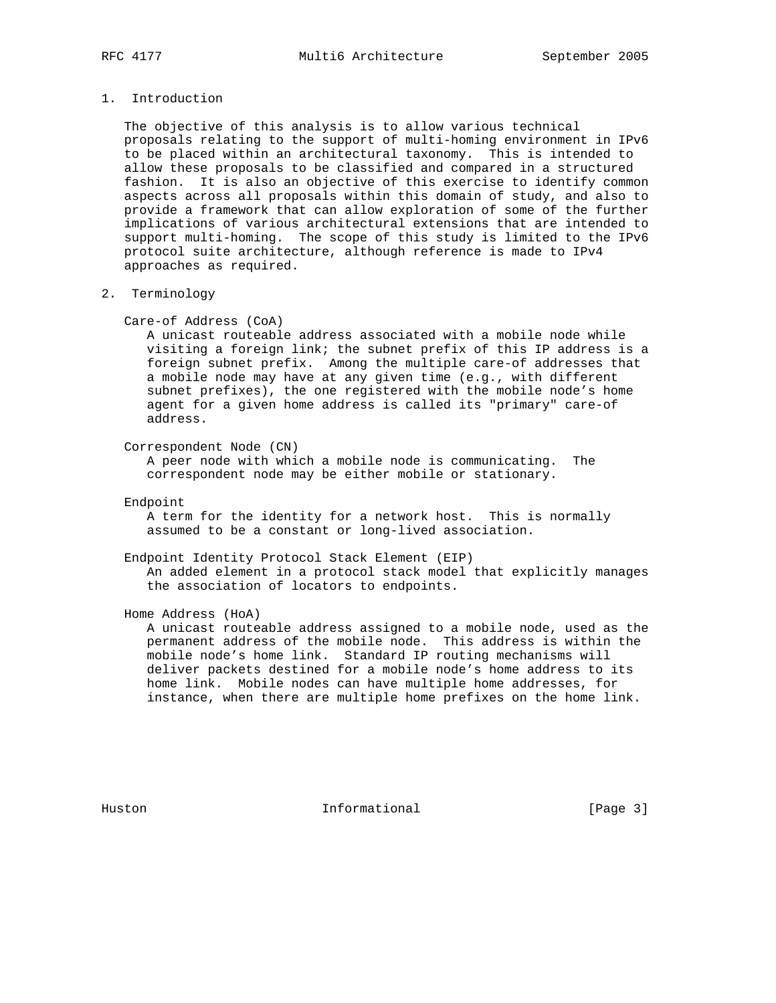# 1. Introduction

 The objective of this analysis is to allow various technical proposals relating to the support of multi-homing environment in IPv6 to be placed within an architectural taxonomy. This is intended to allow these proposals to be classified and compared in a structured fashion. It is also an objective of this exercise to identify common aspects across all proposals within this domain of study, and also to provide a framework that can allow exploration of some of the further implications of various architectural extensions that are intended to support multi-homing. The scope of this study is limited to the IPv6 protocol suite architecture, although reference is made to IPv4 approaches as required.

### 2. Terminology

#### Care-of Address (CoA)

 A unicast routeable address associated with a mobile node while visiting a foreign link; the subnet prefix of this IP address is a foreign subnet prefix. Among the multiple care-of addresses that a mobile node may have at any given time (e.g., with different subnet prefixes), the one registered with the mobile node's home agent for a given home address is called its "primary" care-of address.

Correspondent Node (CN)

 A peer node with which a mobile node is communicating. The correspondent node may be either mobile or stationary.

Endpoint

 A term for the identity for a network host. This is normally assumed to be a constant or long-lived association.

 Endpoint Identity Protocol Stack Element (EIP) An added element in a protocol stack model that explicitly manages the association of locators to endpoints.

Home Address (HoA)

 A unicast routeable address assigned to a mobile node, used as the permanent address of the mobile node. This address is within the mobile node's home link. Standard IP routing mechanisms will deliver packets destined for a mobile node's home address to its home link. Mobile nodes can have multiple home addresses, for instance, when there are multiple home prefixes on the home link.

Huston **Informational Informational** [Page 3]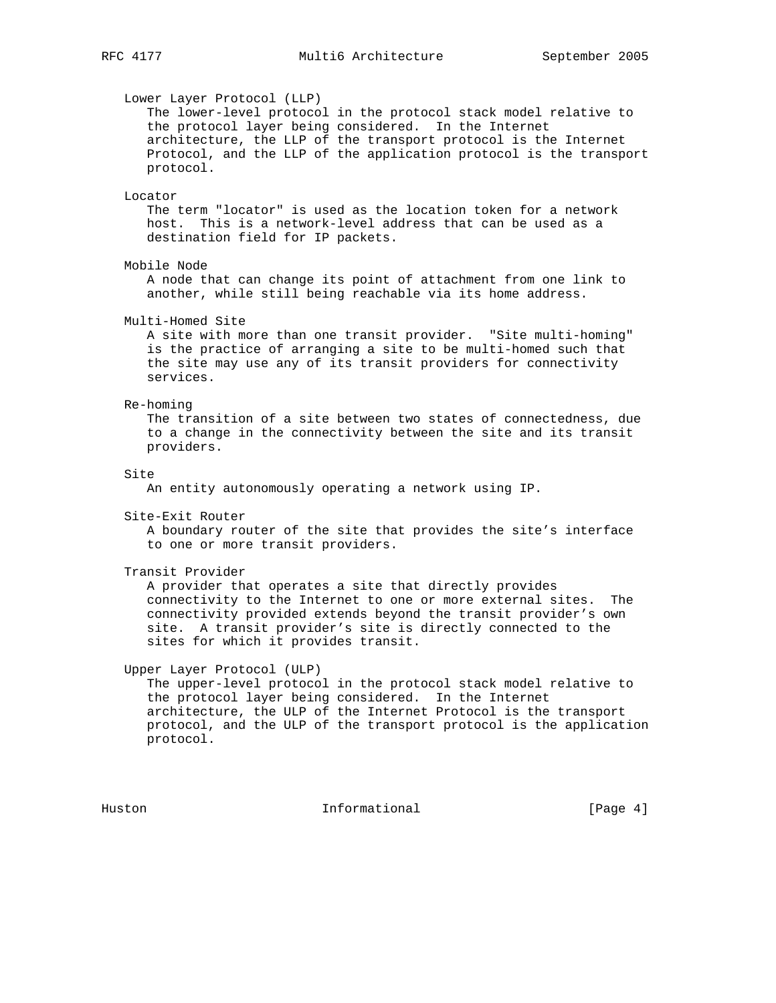Lower Layer Protocol (LLP) The lower-level protocol in the protocol stack model relative to the protocol layer being considered. In the Internet architecture, the LLP of the transport protocol is the Internet Protocol, and the LLP of the application protocol is the transport protocol. Locator The term "locator" is used as the location token for a network host. This is a network-level address that can be used as a destination field for IP packets. Mobile Node A node that can change its point of attachment from one link to another, while still being reachable via its home address. Multi-Homed Site A site with more than one transit provider. "Site multi-homing" is the practice of arranging a site to be multi-homed such that the site may use any of its transit providers for connectivity services. Re-homing The transition of a site between two states of connectedness, due to a change in the connectivity between the site and its transit providers. Site An entity autonomously operating a network using IP. Site-Exit Router A boundary router of the site that provides the site's interface to one or more transit providers. Transit Provider A provider that operates a site that directly provides connectivity to the Internet to one or more external sites. The connectivity provided extends beyond the transit provider's own site. A transit provider's site is directly connected to the sites for which it provides transit. Upper Layer Protocol (ULP) The upper-level protocol in the protocol stack model relative to the protocol layer being considered. In the Internet architecture, the ULP of the Internet Protocol is the transport protocol, and the ULP of the transport protocol is the application protocol.

Huston **Informational Informational** [Page 4]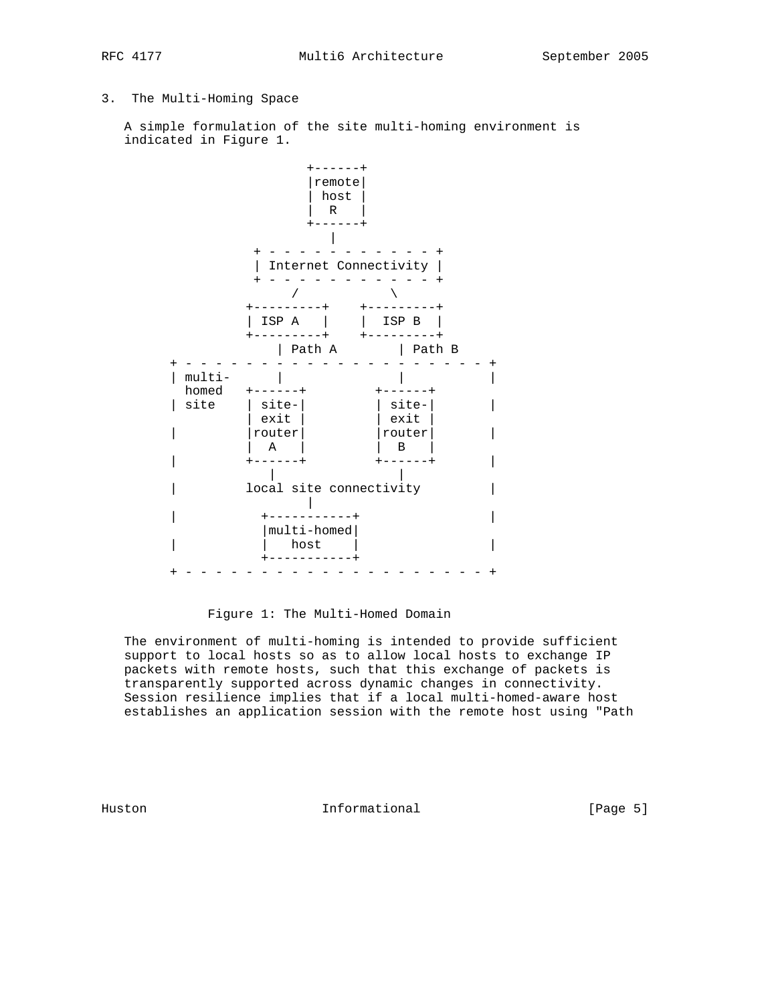# 3. The Multi-Homing Space

 A simple formulation of the site multi-homing environment is indicated in Figure 1.



Figure 1: The Multi-Homed Domain

 The environment of multi-homing is intended to provide sufficient support to local hosts so as to allow local hosts to exchange IP packets with remote hosts, such that this exchange of packets is transparently supported across dynamic changes in connectivity. Session resilience implies that if a local multi-homed-aware host establishes an application session with the remote host using "Path

Huston **Informational Informational** [Page 5]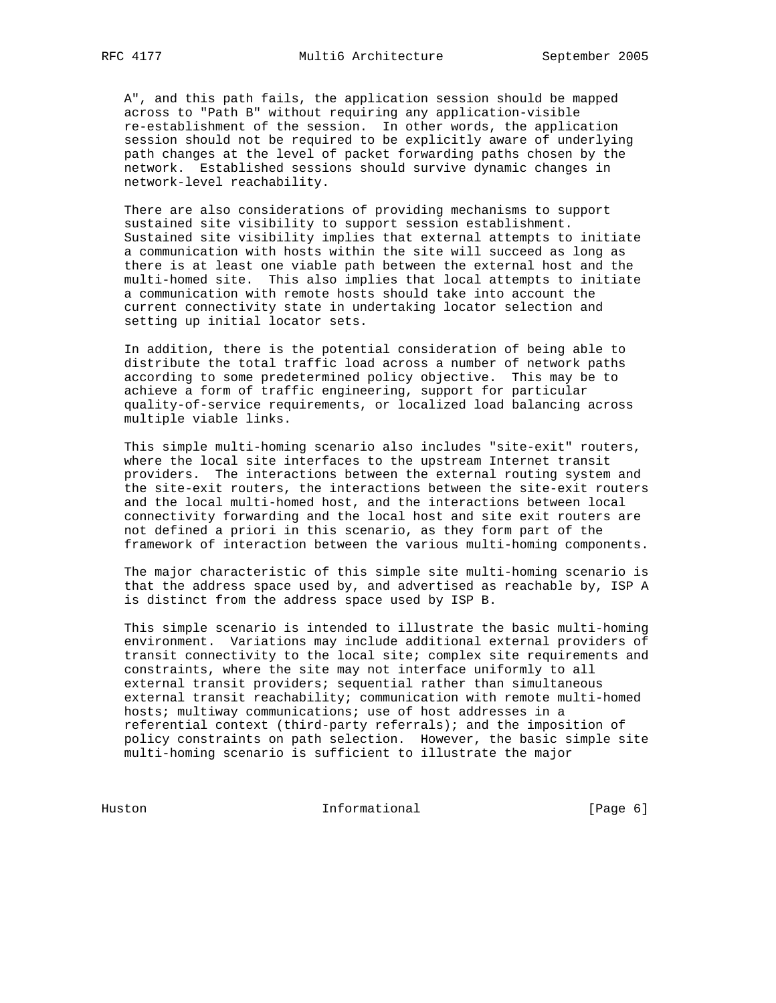A", and this path fails, the application session should be mapped across to "Path B" without requiring any application-visible re-establishment of the session. In other words, the application session should not be required to be explicitly aware of underlying path changes at the level of packet forwarding paths chosen by the network. Established sessions should survive dynamic changes in network-level reachability.

 There are also considerations of providing mechanisms to support sustained site visibility to support session establishment. Sustained site visibility implies that external attempts to initiate a communication with hosts within the site will succeed as long as there is at least one viable path between the external host and the multi-homed site. This also implies that local attempts to initiate a communication with remote hosts should take into account the current connectivity state in undertaking locator selection and setting up initial locator sets.

 In addition, there is the potential consideration of being able to distribute the total traffic load across a number of network paths according to some predetermined policy objective. This may be to achieve a form of traffic engineering, support for particular quality-of-service requirements, or localized load balancing across multiple viable links.

 This simple multi-homing scenario also includes "site-exit" routers, where the local site interfaces to the upstream Internet transit providers. The interactions between the external routing system and the site-exit routers, the interactions between the site-exit routers and the local multi-homed host, and the interactions between local connectivity forwarding and the local host and site exit routers are not defined a priori in this scenario, as they form part of the framework of interaction between the various multi-homing components.

 The major characteristic of this simple site multi-homing scenario is that the address space used by, and advertised as reachable by, ISP A is distinct from the address space used by ISP B.

 This simple scenario is intended to illustrate the basic multi-homing environment. Variations may include additional external providers of transit connectivity to the local site; complex site requirements and constraints, where the site may not interface uniformly to all external transit providers; sequential rather than simultaneous external transit reachability; communication with remote multi-homed hosts; multiway communications; use of host addresses in a referential context (third-party referrals); and the imposition of policy constraints on path selection. However, the basic simple site multi-homing scenario is sufficient to illustrate the major

Huston Informational [Page 6]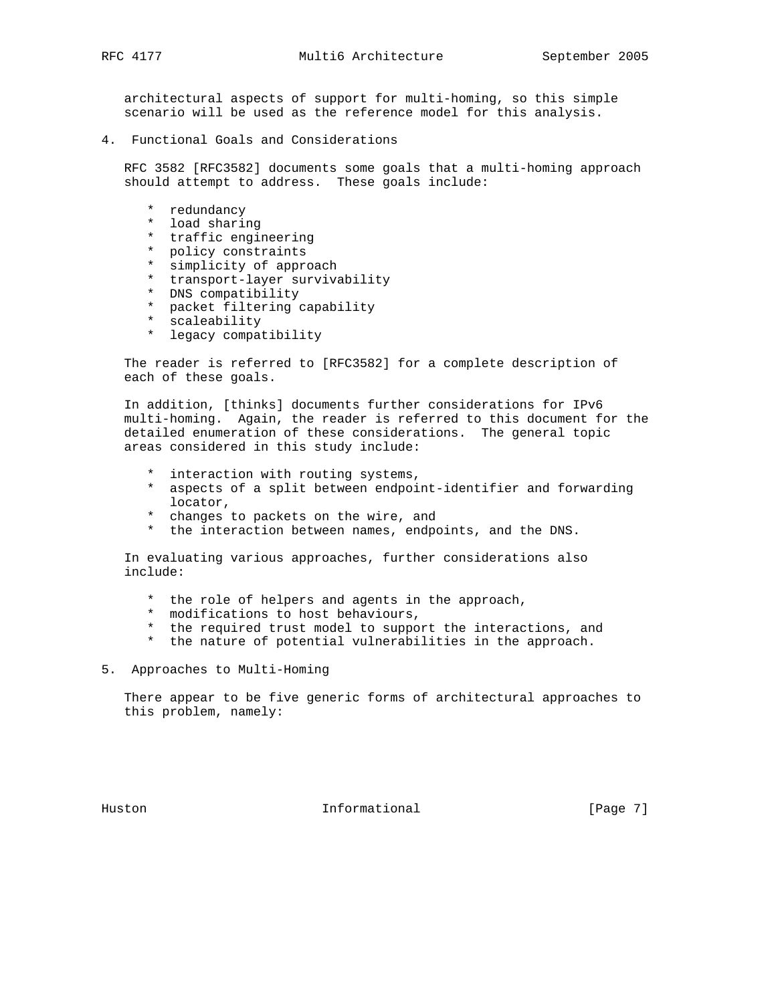architectural aspects of support for multi-homing, so this simple scenario will be used as the reference model for this analysis.

4. Functional Goals and Considerations

 RFC 3582 [RFC3582] documents some goals that a multi-homing approach should attempt to address. These goals include:

- \* redundancy
- \* load sharing
- \* traffic engineering
- \* policy constraints
- \* simplicity of approach
- \* transport-layer survivability
- \* DNS compatibility
- \* packet filtering capability
- \* scaleability
- \* legacy compatibility

 The reader is referred to [RFC3582] for a complete description of each of these goals.

 In addition, [thinks] documents further considerations for IPv6 multi-homing. Again, the reader is referred to this document for the detailed enumeration of these considerations. The general topic areas considered in this study include:

- \* interaction with routing systems,
- \* aspects of a split between endpoint-identifier and forwarding locator,
- \* changes to packets on the wire, and
- \* the interaction between names, endpoints, and the DNS.

 In evaluating various approaches, further considerations also include:

- \* the role of helpers and agents in the approach,
- \* modifications to host behaviours,
- the required trust model to support the interactions, and
- \* the nature of potential vulnerabilities in the approach.
- 5. Approaches to Multi-Homing

 There appear to be five generic forms of architectural approaches to this problem, namely:

Huston **Informational Informational** [Page 7]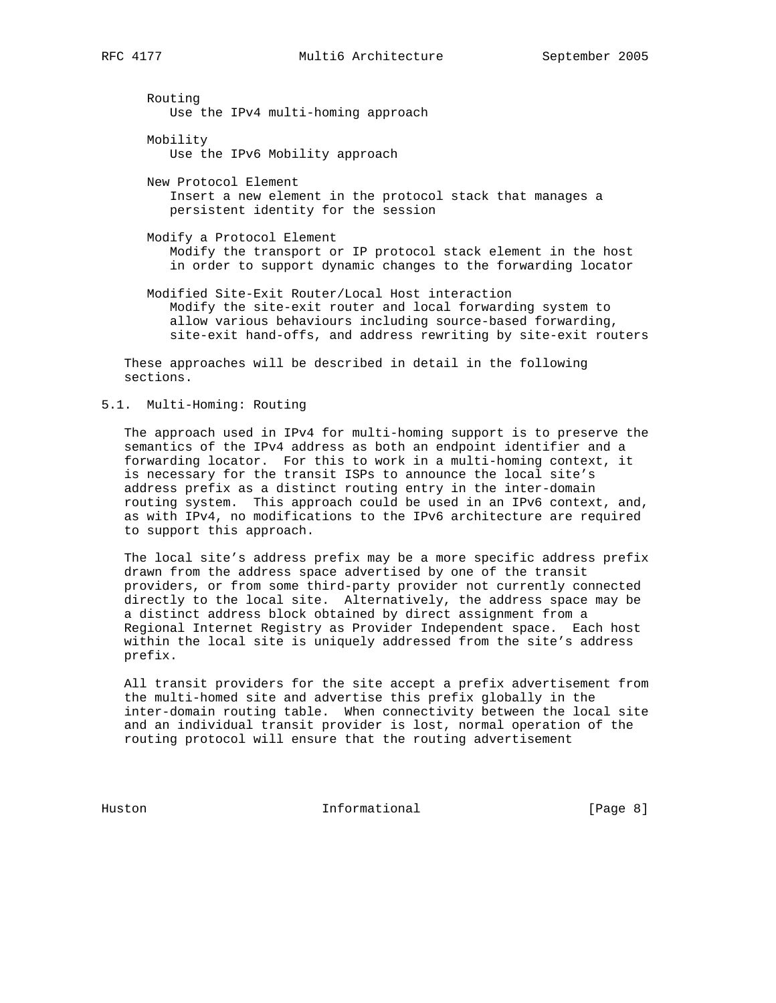Routing Use the IPv4 multi-homing approach Mobility Use the IPv6 Mobility approach New Protocol Element Insert a new element in the protocol stack that manages a persistent identity for the session Modify a Protocol Element Modify the transport or IP protocol stack element in the host

 Modified Site-Exit Router/Local Host interaction Modify the site-exit router and local forwarding system to allow various behaviours including source-based forwarding, site-exit hand-offs, and address rewriting by site-exit routers

in order to support dynamic changes to the forwarding locator

 These approaches will be described in detail in the following sections.

5.1. Multi-Homing: Routing

 The approach used in IPv4 for multi-homing support is to preserve the semantics of the IPv4 address as both an endpoint identifier and a forwarding locator. For this to work in a multi-homing context, it is necessary for the transit ISPs to announce the local site's address prefix as a distinct routing entry in the inter-domain routing system. This approach could be used in an IPv6 context, and, as with IPv4, no modifications to the IPv6 architecture are required to support this approach.

 The local site's address prefix may be a more specific address prefix drawn from the address space advertised by one of the transit providers, or from some third-party provider not currently connected directly to the local site. Alternatively, the address space may be a distinct address block obtained by direct assignment from a Regional Internet Registry as Provider Independent space. Each host within the local site is uniquely addressed from the site's address prefix.

 All transit providers for the site accept a prefix advertisement from the multi-homed site and advertise this prefix globally in the inter-domain routing table. When connectivity between the local site and an individual transit provider is lost, normal operation of the routing protocol will ensure that the routing advertisement

Huston **Informational Informational Informational Informational**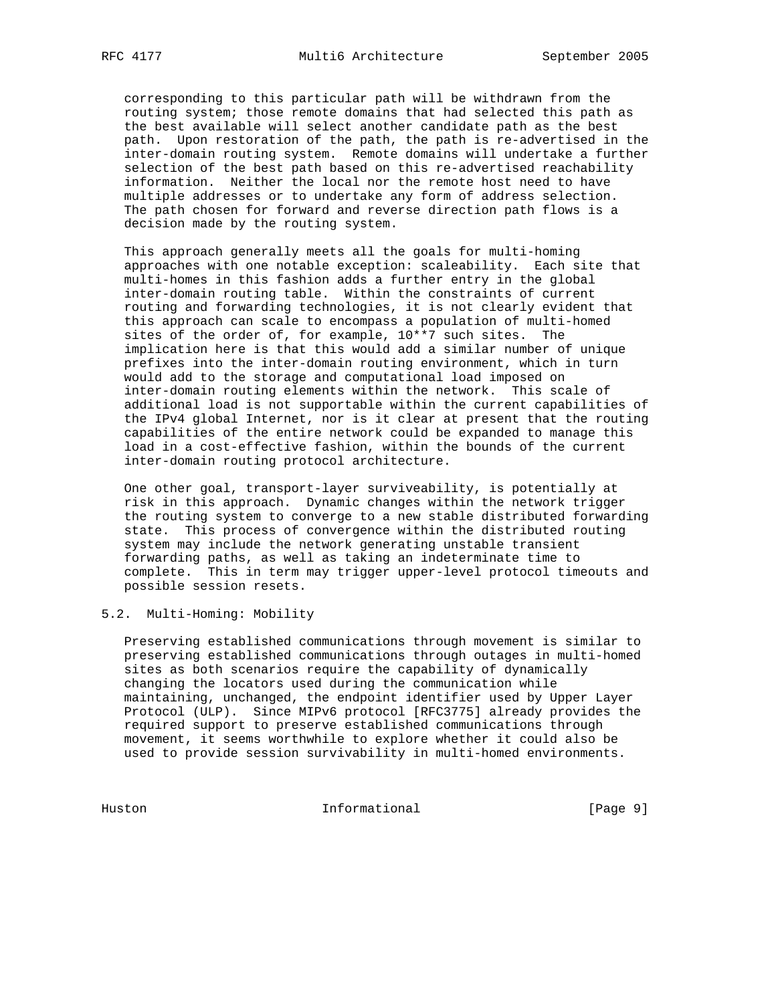corresponding to this particular path will be withdrawn from the routing system; those remote domains that had selected this path as the best available will select another candidate path as the best path. Upon restoration of the path, the path is re-advertised in the inter-domain routing system. Remote domains will undertake a further selection of the best path based on this re-advertised reachability information. Neither the local nor the remote host need to have multiple addresses or to undertake any form of address selection. The path chosen for forward and reverse direction path flows is a decision made by the routing system.

 This approach generally meets all the goals for multi-homing approaches with one notable exception: scaleability. Each site that multi-homes in this fashion adds a further entry in the global inter-domain routing table. Within the constraints of current routing and forwarding technologies, it is not clearly evident that this approach can scale to encompass a population of multi-homed sites of the order of, for example, 10\*\*7 such sites. The implication here is that this would add a similar number of unique prefixes into the inter-domain routing environment, which in turn would add to the storage and computational load imposed on inter-domain routing elements within the network. This scale of additional load is not supportable within the current capabilities of the IPv4 global Internet, nor is it clear at present that the routing capabilities of the entire network could be expanded to manage this load in a cost-effective fashion, within the bounds of the current inter-domain routing protocol architecture.

 One other goal, transport-layer surviveability, is potentially at risk in this approach. Dynamic changes within the network trigger the routing system to converge to a new stable distributed forwarding state. This process of convergence within the distributed routing system may include the network generating unstable transient forwarding paths, as well as taking an indeterminate time to complete. This in term may trigger upper-level protocol timeouts and possible session resets.

# 5.2. Multi-Homing: Mobility

 Preserving established communications through movement is similar to preserving established communications through outages in multi-homed sites as both scenarios require the capability of dynamically changing the locators used during the communication while maintaining, unchanged, the endpoint identifier used by Upper Layer Protocol (ULP). Since MIPv6 protocol [RFC3775] already provides the required support to preserve established communications through movement, it seems worthwhile to explore whether it could also be used to provide session survivability in multi-homed environments.

Huston Informational [Page 9]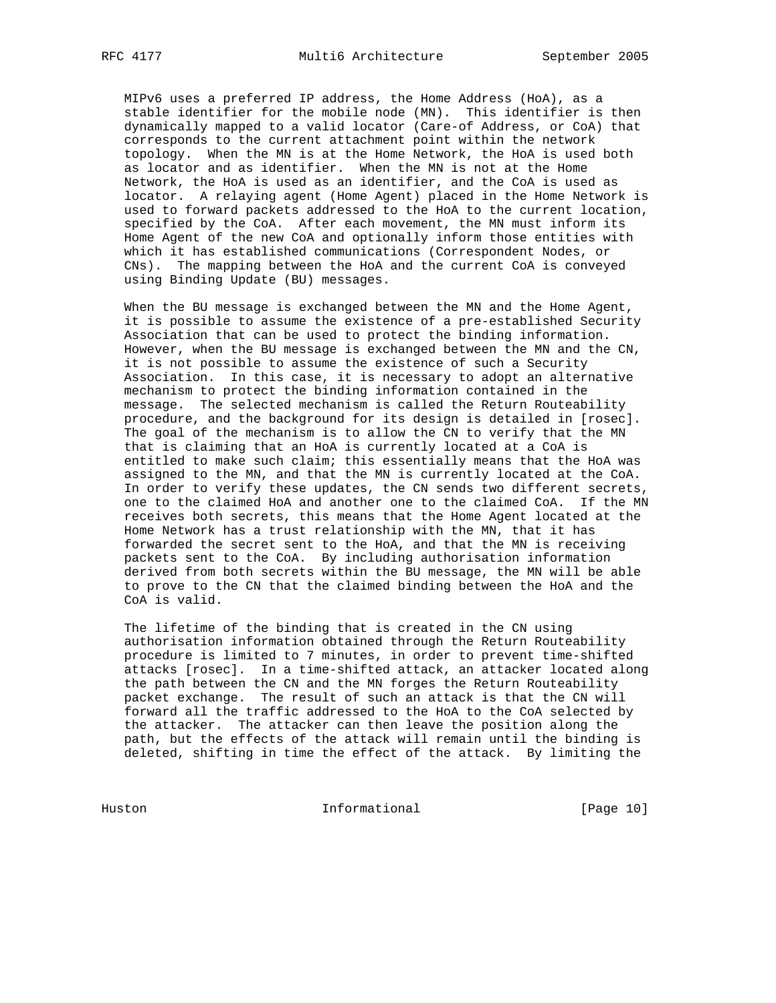MIPv6 uses a preferred IP address, the Home Address (HoA), as a stable identifier for the mobile node (MN). This identifier is then dynamically mapped to a valid locator (Care-of Address, or CoA) that corresponds to the current attachment point within the network topology. When the MN is at the Home Network, the HoA is used both as locator and as identifier. When the MN is not at the Home Network, the HoA is used as an identifier, and the CoA is used as locator. A relaying agent (Home Agent) placed in the Home Network is used to forward packets addressed to the HoA to the current location, specified by the CoA. After each movement, the MN must inform its Home Agent of the new CoA and optionally inform those entities with which it has established communications (Correspondent Nodes, or CNs). The mapping between the HoA and the current CoA is conveyed using Binding Update (BU) messages.

 When the BU message is exchanged between the MN and the Home Agent, it is possible to assume the existence of a pre-established Security Association that can be used to protect the binding information. However, when the BU message is exchanged between the MN and the CN, it is not possible to assume the existence of such a Security Association. In this case, it is necessary to adopt an alternative mechanism to protect the binding information contained in the message. The selected mechanism is called the Return Routeability procedure, and the background for its design is detailed in [rosec]. The goal of the mechanism is to allow the CN to verify that the MN that is claiming that an HoA is currently located at a CoA is entitled to make such claim; this essentially means that the HoA was assigned to the MN, and that the MN is currently located at the CoA. In order to verify these updates, the CN sends two different secrets, one to the claimed HoA and another one to the claimed CoA. If the MN receives both secrets, this means that the Home Agent located at the Home Network has a trust relationship with the MN, that it has forwarded the secret sent to the HoA, and that the MN is receiving packets sent to the CoA. By including authorisation information derived from both secrets within the BU message, the MN will be able to prove to the CN that the claimed binding between the HoA and the CoA is valid.

 The lifetime of the binding that is created in the CN using authorisation information obtained through the Return Routeability procedure is limited to 7 minutes, in order to prevent time-shifted attacks [rosec]. In a time-shifted attack, an attacker located along the path between the CN and the MN forges the Return Routeability packet exchange. The result of such an attack is that the CN will forward all the traffic addressed to the HoA to the CoA selected by the attacker. The attacker can then leave the position along the path, but the effects of the attack will remain until the binding is deleted, shifting in time the effect of the attack. By limiting the

Huston Informational [Page 10]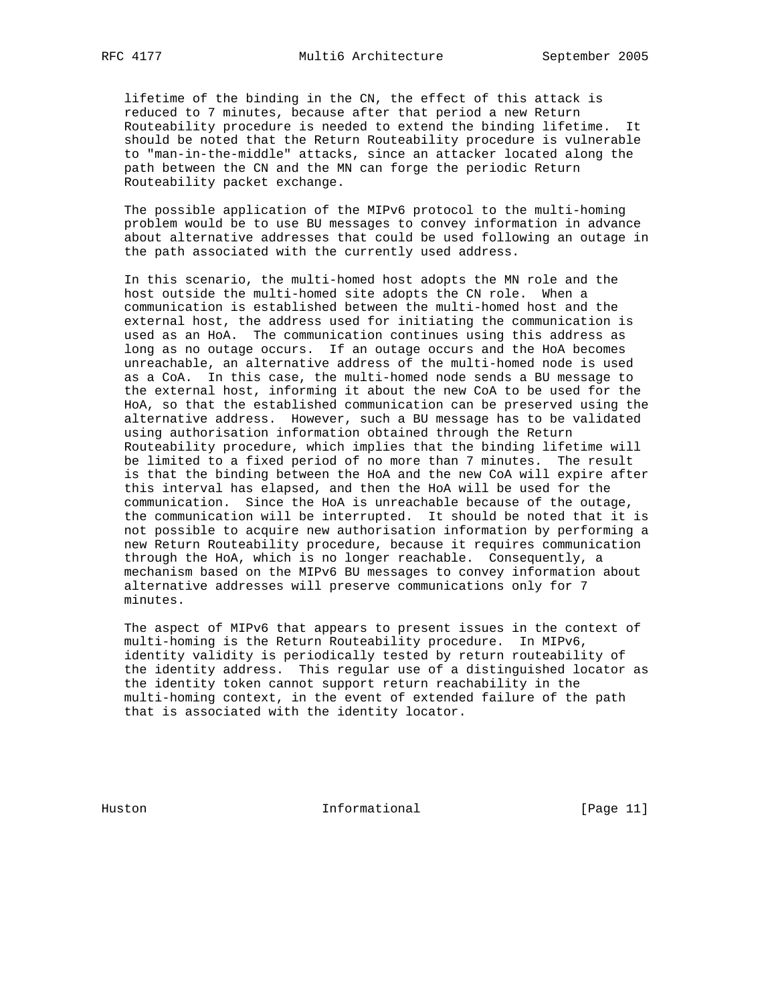lifetime of the binding in the CN, the effect of this attack is reduced to 7 minutes, because after that period a new Return Routeability procedure is needed to extend the binding lifetime. It should be noted that the Return Routeability procedure is vulnerable to "man-in-the-middle" attacks, since an attacker located along the path between the CN and the MN can forge the periodic Return Routeability packet exchange.

 The possible application of the MIPv6 protocol to the multi-homing problem would be to use BU messages to convey information in advance about alternative addresses that could be used following an outage in the path associated with the currently used address.

 In this scenario, the multi-homed host adopts the MN role and the host outside the multi-homed site adopts the CN role. When a communication is established between the multi-homed host and the external host, the address used for initiating the communication is used as an HoA. The communication continues using this address as long as no outage occurs. If an outage occurs and the HoA becomes unreachable, an alternative address of the multi-homed node is used as a CoA. In this case, the multi-homed node sends a BU message to the external host, informing it about the new CoA to be used for the HoA, so that the established communication can be preserved using the alternative address. However, such a BU message has to be validated using authorisation information obtained through the Return Routeability procedure, which implies that the binding lifetime will be limited to a fixed period of no more than 7 minutes. The result is that the binding between the HoA and the new CoA will expire after this interval has elapsed, and then the HoA will be used for the communication. Since the HoA is unreachable because of the outage, the communication will be interrupted. It should be noted that it is not possible to acquire new authorisation information by performing a new Return Routeability procedure, because it requires communication through the HoA, which is no longer reachable. Consequently, a mechanism based on the MIPv6 BU messages to convey information about alternative addresses will preserve communications only for 7 minutes.

 The aspect of MIPv6 that appears to present issues in the context of multi-homing is the Return Routeability procedure. In MIPv6, identity validity is periodically tested by return routeability of the identity address. This regular use of a distinguished locator as the identity token cannot support return reachability in the multi-homing context, in the event of extended failure of the path that is associated with the identity locator.

Huston Informational [Page 11]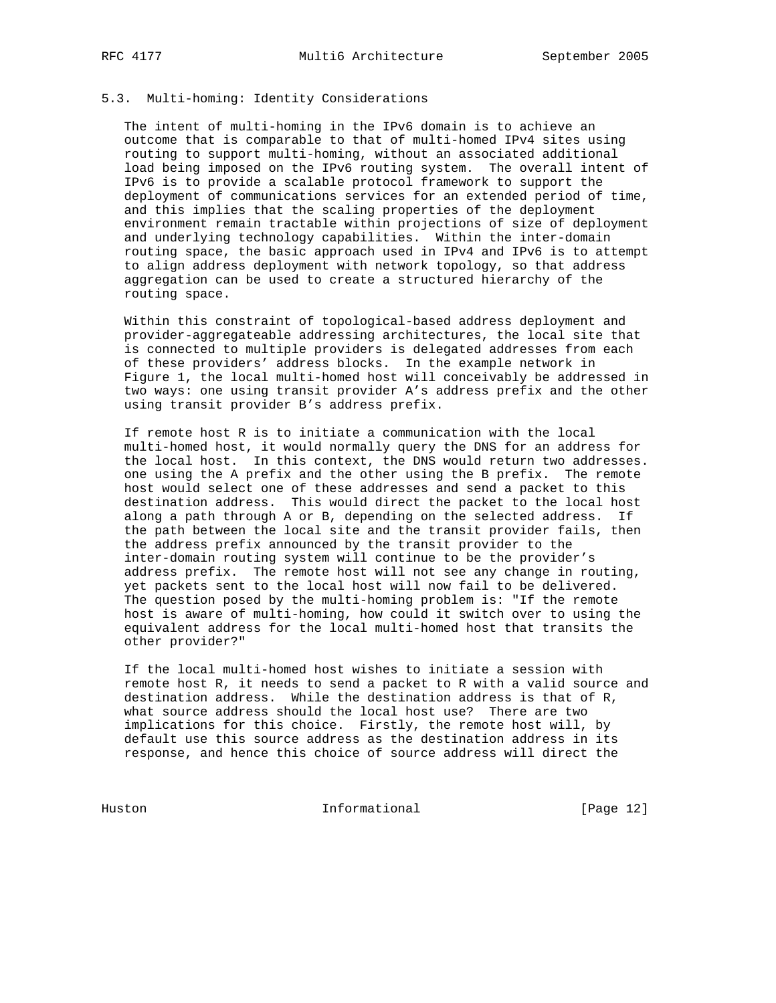# 5.3. Multi-homing: Identity Considerations

 The intent of multi-homing in the IPv6 domain is to achieve an outcome that is comparable to that of multi-homed IPv4 sites using routing to support multi-homing, without an associated additional load being imposed on the IPv6 routing system. The overall intent of IPv6 is to provide a scalable protocol framework to support the deployment of communications services for an extended period of time, and this implies that the scaling properties of the deployment environment remain tractable within projections of size of deployment and underlying technology capabilities. Within the inter-domain routing space, the basic approach used in IPv4 and IPv6 is to attempt to align address deployment with network topology, so that address aggregation can be used to create a structured hierarchy of the routing space.

 Within this constraint of topological-based address deployment and provider-aggregateable addressing architectures, the local site that is connected to multiple providers is delegated addresses from each of these providers' address blocks. In the example network in Figure 1, the local multi-homed host will conceivably be addressed in two ways: one using transit provider A's address prefix and the other using transit provider B's address prefix.

 If remote host R is to initiate a communication with the local multi-homed host, it would normally query the DNS for an address for the local host. In this context, the DNS would return two addresses. one using the A prefix and the other using the B prefix. The remote host would select one of these addresses and send a packet to this destination address. This would direct the packet to the local host along a path through A or B, depending on the selected address. If the path between the local site and the transit provider fails, then the address prefix announced by the transit provider to the inter-domain routing system will continue to be the provider's address prefix. The remote host will not see any change in routing, yet packets sent to the local host will now fail to be delivered. The question posed by the multi-homing problem is: "If the remote host is aware of multi-homing, how could it switch over to using the equivalent address for the local multi-homed host that transits the other provider?"

 If the local multi-homed host wishes to initiate a session with remote host R, it needs to send a packet to R with a valid source and destination address. While the destination address is that of R, what source address should the local host use? There are two implications for this choice. Firstly, the remote host will, by default use this source address as the destination address in its response, and hence this choice of source address will direct the

Huston Informational [Page 12]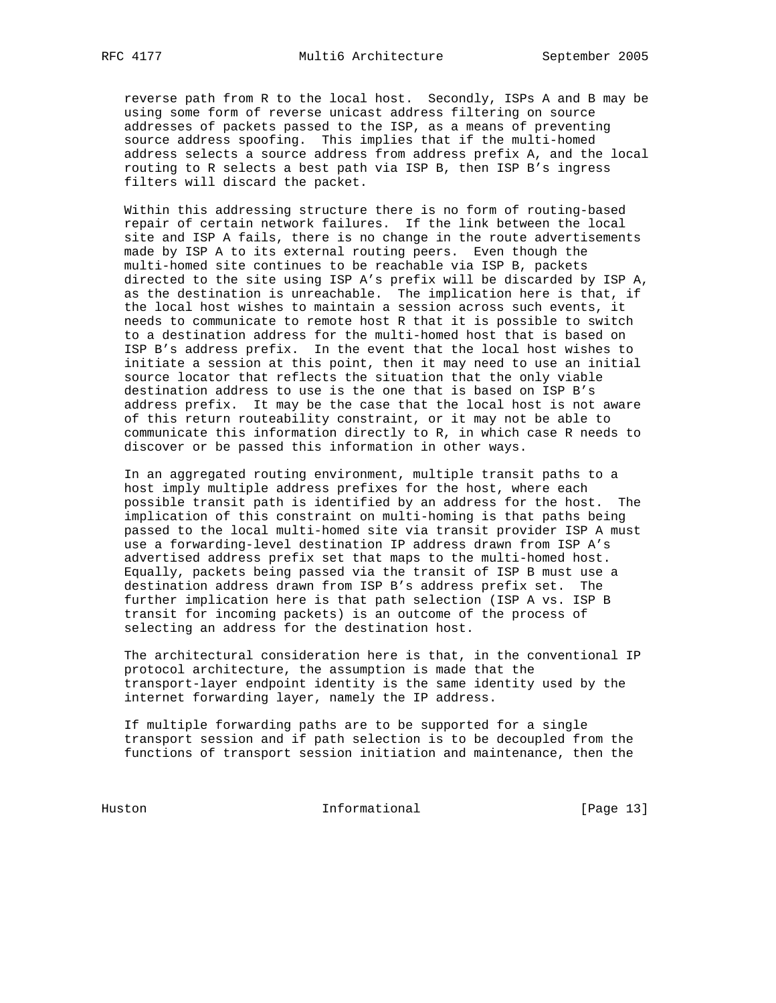reverse path from R to the local host. Secondly, ISPs A and B may be using some form of reverse unicast address filtering on source addresses of packets passed to the ISP, as a means of preventing source address spoofing. This implies that if the multi-homed address selects a source address from address prefix A, and the local routing to R selects a best path via ISP B, then ISP B's ingress filters will discard the packet.

 Within this addressing structure there is no form of routing-based repair of certain network failures. If the link between the local site and ISP A fails, there is no change in the route advertisements made by ISP A to its external routing peers. Even though the multi-homed site continues to be reachable via ISP B, packets directed to the site using ISP A's prefix will be discarded by ISP A, as the destination is unreachable. The implication here is that, if the local host wishes to maintain a session across such events, it needs to communicate to remote host R that it is possible to switch to a destination address for the multi-homed host that is based on ISP B's address prefix. In the event that the local host wishes to initiate a session at this point, then it may need to use an initial source locator that reflects the situation that the only viable destination address to use is the one that is based on ISP B's address prefix. It may be the case that the local host is not aware of this return routeability constraint, or it may not be able to communicate this information directly to R, in which case R needs to discover or be passed this information in other ways.

 In an aggregated routing environment, multiple transit paths to a host imply multiple address prefixes for the host, where each possible transit path is identified by an address for the host. The implication of this constraint on multi-homing is that paths being passed to the local multi-homed site via transit provider ISP A must use a forwarding-level destination IP address drawn from ISP A's advertised address prefix set that maps to the multi-homed host. Equally, packets being passed via the transit of ISP B must use a destination address drawn from ISP B's address prefix set. The further implication here is that path selection (ISP A vs. ISP B transit for incoming packets) is an outcome of the process of selecting an address for the destination host.

 The architectural consideration here is that, in the conventional IP protocol architecture, the assumption is made that the transport-layer endpoint identity is the same identity used by the internet forwarding layer, namely the IP address.

 If multiple forwarding paths are to be supported for a single transport session and if path selection is to be decoupled from the functions of transport session initiation and maintenance, then the

Huston Informational [Page 13]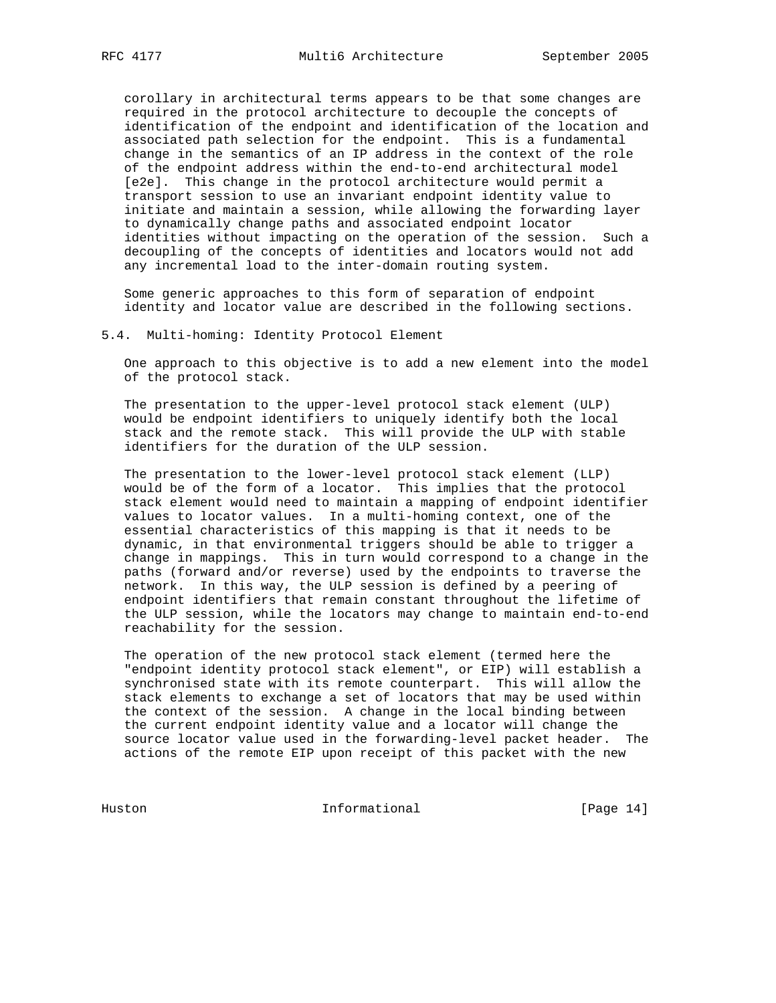corollary in architectural terms appears to be that some changes are required in the protocol architecture to decouple the concepts of identification of the endpoint and identification of the location and associated path selection for the endpoint. This is a fundamental change in the semantics of an IP address in the context of the role of the endpoint address within the end-to-end architectural model [e2e]. This change in the protocol architecture would permit a transport session to use an invariant endpoint identity value to initiate and maintain a session, while allowing the forwarding layer to dynamically change paths and associated endpoint locator identities without impacting on the operation of the session. Such a decoupling of the concepts of identities and locators would not add any incremental load to the inter-domain routing system.

 Some generic approaches to this form of separation of endpoint identity and locator value are described in the following sections.

#### 5.4. Multi-homing: Identity Protocol Element

 One approach to this objective is to add a new element into the model of the protocol stack.

 The presentation to the upper-level protocol stack element (ULP) would be endpoint identifiers to uniquely identify both the local stack and the remote stack. This will provide the ULP with stable identifiers for the duration of the ULP session.

 The presentation to the lower-level protocol stack element (LLP) would be of the form of a locator. This implies that the protocol stack element would need to maintain a mapping of endpoint identifier values to locator values. In a multi-homing context, one of the essential characteristics of this mapping is that it needs to be dynamic, in that environmental triggers should be able to trigger a change in mappings. This in turn would correspond to a change in the paths (forward and/or reverse) used by the endpoints to traverse the network. In this way, the ULP session is defined by a peering of endpoint identifiers that remain constant throughout the lifetime of the ULP session, while the locators may change to maintain end-to-end reachability for the session.

 The operation of the new protocol stack element (termed here the "endpoint identity protocol stack element", or EIP) will establish a synchronised state with its remote counterpart. This will allow the stack elements to exchange a set of locators that may be used within the context of the session. A change in the local binding between the current endpoint identity value and a locator will change the source locator value used in the forwarding-level packet header. The actions of the remote EIP upon receipt of this packet with the new

Huston Informational [Page 14]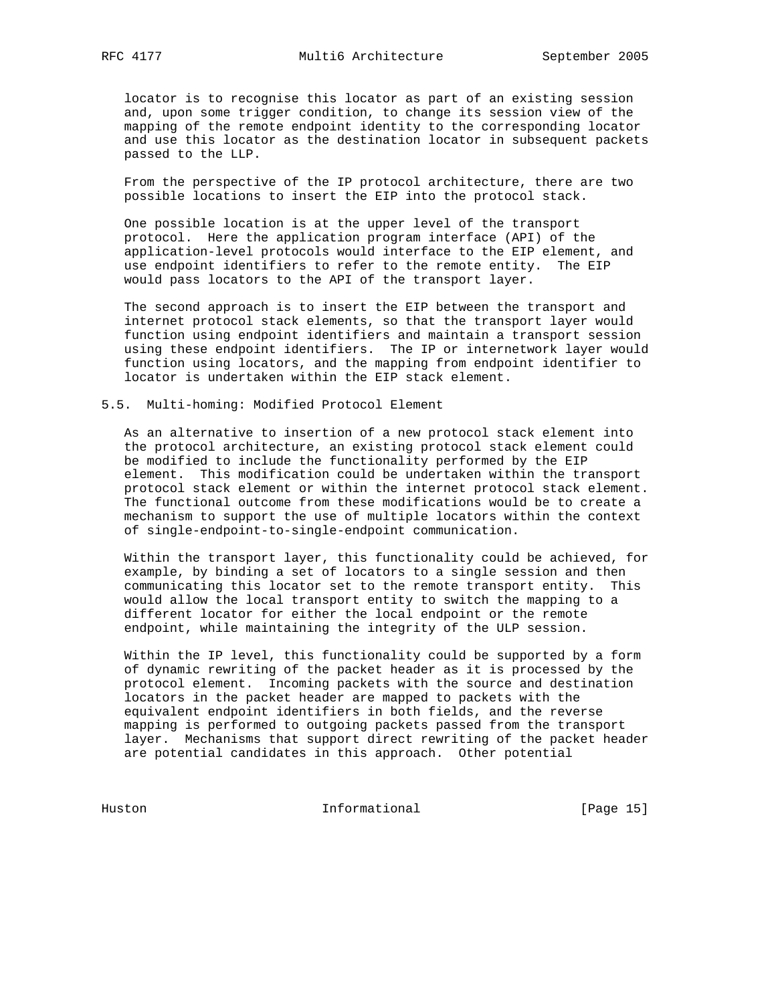locator is to recognise this locator as part of an existing session and, upon some trigger condition, to change its session view of the mapping of the remote endpoint identity to the corresponding locator and use this locator as the destination locator in subsequent packets passed to the LLP.

 From the perspective of the IP protocol architecture, there are two possible locations to insert the EIP into the protocol stack.

 One possible location is at the upper level of the transport protocol. Here the application program interface (API) of the application-level protocols would interface to the EIP element, and use endpoint identifiers to refer to the remote entity. The EIP would pass locators to the API of the transport layer.

 The second approach is to insert the EIP between the transport and internet protocol stack elements, so that the transport layer would function using endpoint identifiers and maintain a transport session using these endpoint identifiers. The IP or internetwork layer would function using locators, and the mapping from endpoint identifier to locator is undertaken within the EIP stack element.

5.5. Multi-homing: Modified Protocol Element

 As an alternative to insertion of a new protocol stack element into the protocol architecture, an existing protocol stack element could be modified to include the functionality performed by the EIP element. This modification could be undertaken within the transport protocol stack element or within the internet protocol stack element. The functional outcome from these modifications would be to create a mechanism to support the use of multiple locators within the context of single-endpoint-to-single-endpoint communication.

 Within the transport layer, this functionality could be achieved, for example, by binding a set of locators to a single session and then communicating this locator set to the remote transport entity. This would allow the local transport entity to switch the mapping to a different locator for either the local endpoint or the remote endpoint, while maintaining the integrity of the ULP session.

 Within the IP level, this functionality could be supported by a form of dynamic rewriting of the packet header as it is processed by the protocol element. Incoming packets with the source and destination locators in the packet header are mapped to packets with the equivalent endpoint identifiers in both fields, and the reverse mapping is performed to outgoing packets passed from the transport layer. Mechanisms that support direct rewriting of the packet header are potential candidates in this approach. Other potential

Huston Informational [Page 15]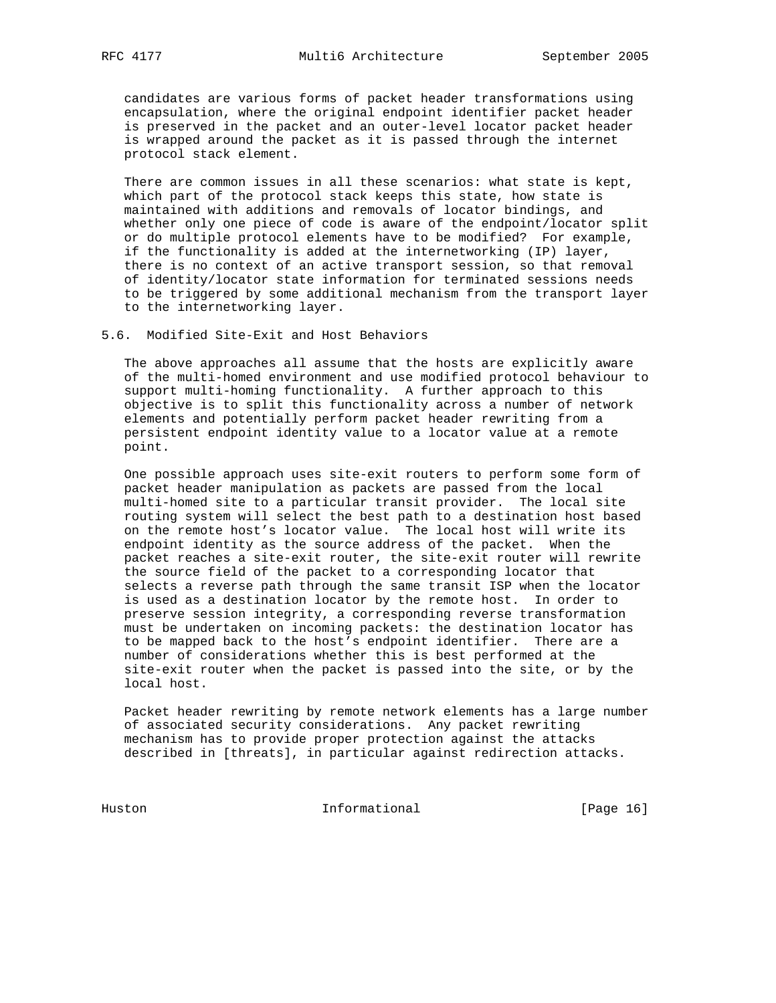candidates are various forms of packet header transformations using encapsulation, where the original endpoint identifier packet header is preserved in the packet and an outer-level locator packet header is wrapped around the packet as it is passed through the internet protocol stack element.

 There are common issues in all these scenarios: what state is kept, which part of the protocol stack keeps this state, how state is maintained with additions and removals of locator bindings, and whether only one piece of code is aware of the endpoint/locator split or do multiple protocol elements have to be modified? For example, if the functionality is added at the internetworking (IP) layer, there is no context of an active transport session, so that removal of identity/locator state information for terminated sessions needs to be triggered by some additional mechanism from the transport layer to the internetworking layer.

5.6. Modified Site-Exit and Host Behaviors

 The above approaches all assume that the hosts are explicitly aware of the multi-homed environment and use modified protocol behaviour to support multi-homing functionality. A further approach to this objective is to split this functionality across a number of network elements and potentially perform packet header rewriting from a persistent endpoint identity value to a locator value at a remote point.

 One possible approach uses site-exit routers to perform some form of packet header manipulation as packets are passed from the local multi-homed site to a particular transit provider. The local site routing system will select the best path to a destination host based on the remote host's locator value. The local host will write its endpoint identity as the source address of the packet. When the packet reaches a site-exit router, the site-exit router will rewrite the source field of the packet to a corresponding locator that selects a reverse path through the same transit ISP when the locator is used as a destination locator by the remote host. In order to preserve session integrity, a corresponding reverse transformation must be undertaken on incoming packets: the destination locator has to be mapped back to the host's endpoint identifier. There are a number of considerations whether this is best performed at the site-exit router when the packet is passed into the site, or by the local host.

 Packet header rewriting by remote network elements has a large number of associated security considerations. Any packet rewriting mechanism has to provide proper protection against the attacks described in [threats], in particular against redirection attacks.

Huston Informational [Page 16]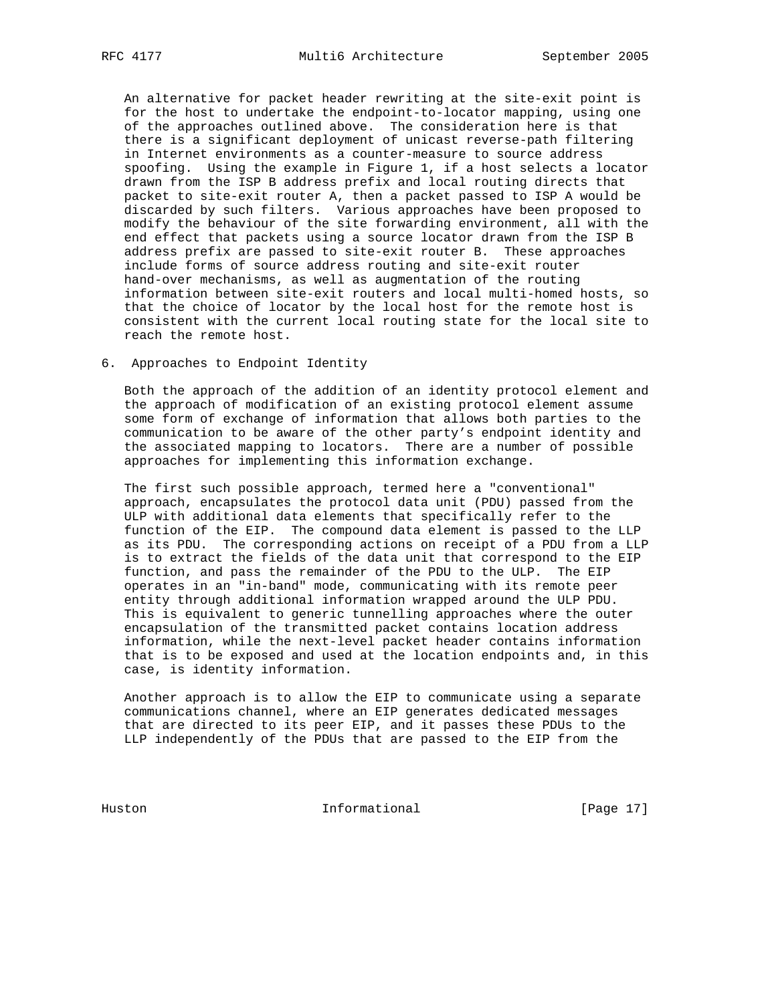An alternative for packet header rewriting at the site-exit point is for the host to undertake the endpoint-to-locator mapping, using one of the approaches outlined above. The consideration here is that there is a significant deployment of unicast reverse-path filtering in Internet environments as a counter-measure to source address spoofing. Using the example in Figure 1, if a host selects a locator drawn from the ISP B address prefix and local routing directs that packet to site-exit router A, then a packet passed to ISP A would be discarded by such filters. Various approaches have been proposed to modify the behaviour of the site forwarding environment, all with the end effect that packets using a source locator drawn from the ISP B address prefix are passed to site-exit router B. These approaches include forms of source address routing and site-exit router hand-over mechanisms, as well as augmentation of the routing information between site-exit routers and local multi-homed hosts, so that the choice of locator by the local host for the remote host is consistent with the current local routing state for the local site to reach the remote host.

6. Approaches to Endpoint Identity

 Both the approach of the addition of an identity protocol element and the approach of modification of an existing protocol element assume some form of exchange of information that allows both parties to the communication to be aware of the other party's endpoint identity and the associated mapping to locators. There are a number of possible approaches for implementing this information exchange.

 The first such possible approach, termed here a "conventional" approach, encapsulates the protocol data unit (PDU) passed from the ULP with additional data elements that specifically refer to the function of the EIP. The compound data element is passed to the LLP as its PDU. The corresponding actions on receipt of a PDU from a LLP is to extract the fields of the data unit that correspond to the EIP function, and pass the remainder of the PDU to the ULP. The EIP operates in an "in-band" mode, communicating with its remote peer entity through additional information wrapped around the ULP PDU. This is equivalent to generic tunnelling approaches where the outer encapsulation of the transmitted packet contains location address information, while the next-level packet header contains information that is to be exposed and used at the location endpoints and, in this case, is identity information.

 Another approach is to allow the EIP to communicate using a separate communications channel, where an EIP generates dedicated messages that are directed to its peer EIP, and it passes these PDUs to the LLP independently of the PDUs that are passed to the EIP from the

Huston Informational [Page 17]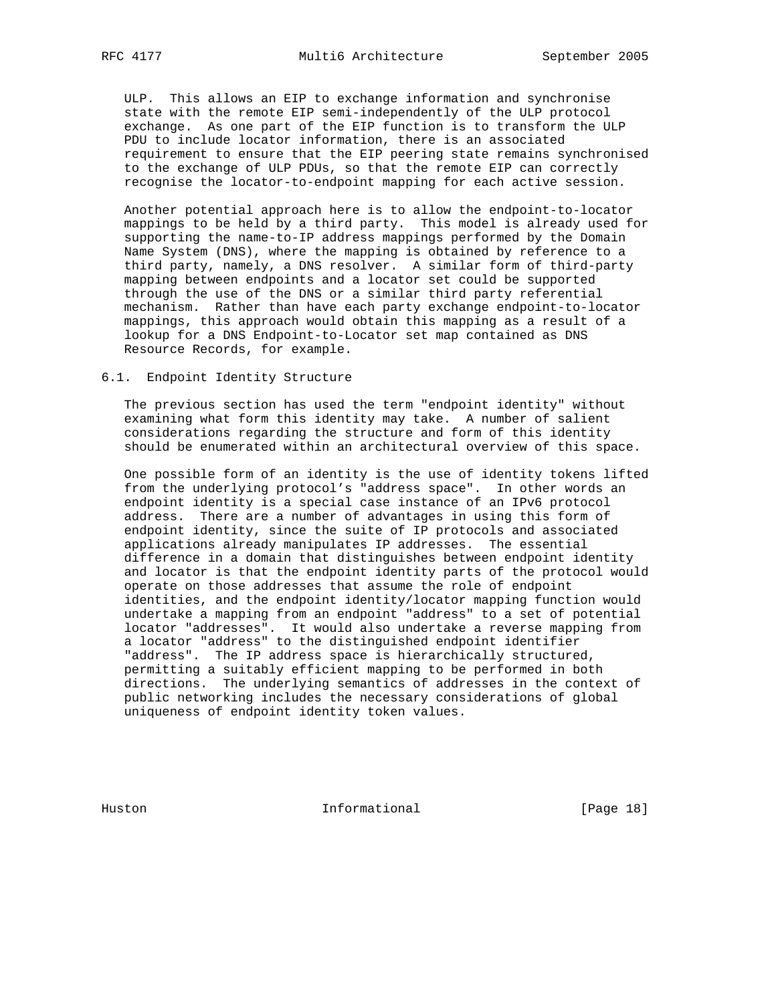ULP. This allows an EIP to exchange information and synchronise state with the remote EIP semi-independently of the ULP protocol exchange. As one part of the EIP function is to transform the ULP PDU to include locator information, there is an associated requirement to ensure that the EIP peering state remains synchronised to the exchange of ULP PDUs, so that the remote EIP can correctly recognise the locator-to-endpoint mapping for each active session.

 Another potential approach here is to allow the endpoint-to-locator mappings to be held by a third party. This model is already used for supporting the name-to-IP address mappings performed by the Domain Name System (DNS), where the mapping is obtained by reference to a third party, namely, a DNS resolver. A similar form of third-party mapping between endpoints and a locator set could be supported through the use of the DNS or a similar third party referential mechanism. Rather than have each party exchange endpoint-to-locator mappings, this approach would obtain this mapping as a result of a lookup for a DNS Endpoint-to-Locator set map contained as DNS Resource Records, for example.

# 6.1. Endpoint Identity Structure

 The previous section has used the term "endpoint identity" without examining what form this identity may take. A number of salient considerations regarding the structure and form of this identity should be enumerated within an architectural overview of this space.

 One possible form of an identity is the use of identity tokens lifted from the underlying protocol's "address space". In other words an endpoint identity is a special case instance of an IPv6 protocol address. There are a number of advantages in using this form of endpoint identity, since the suite of IP protocols and associated applications already manipulates IP addresses. The essential difference in a domain that distinguishes between endpoint identity and locator is that the endpoint identity parts of the protocol would operate on those addresses that assume the role of endpoint identities, and the endpoint identity/locator mapping function would undertake a mapping from an endpoint "address" to a set of potential locator "addresses". It would also undertake a reverse mapping from a locator "address" to the distinguished endpoint identifier "address". The IP address space is hierarchically structured, permitting a suitably efficient mapping to be performed in both directions. The underlying semantics of addresses in the context of public networking includes the necessary considerations of global uniqueness of endpoint identity token values.

Huston **Informational Informational** [Page 18]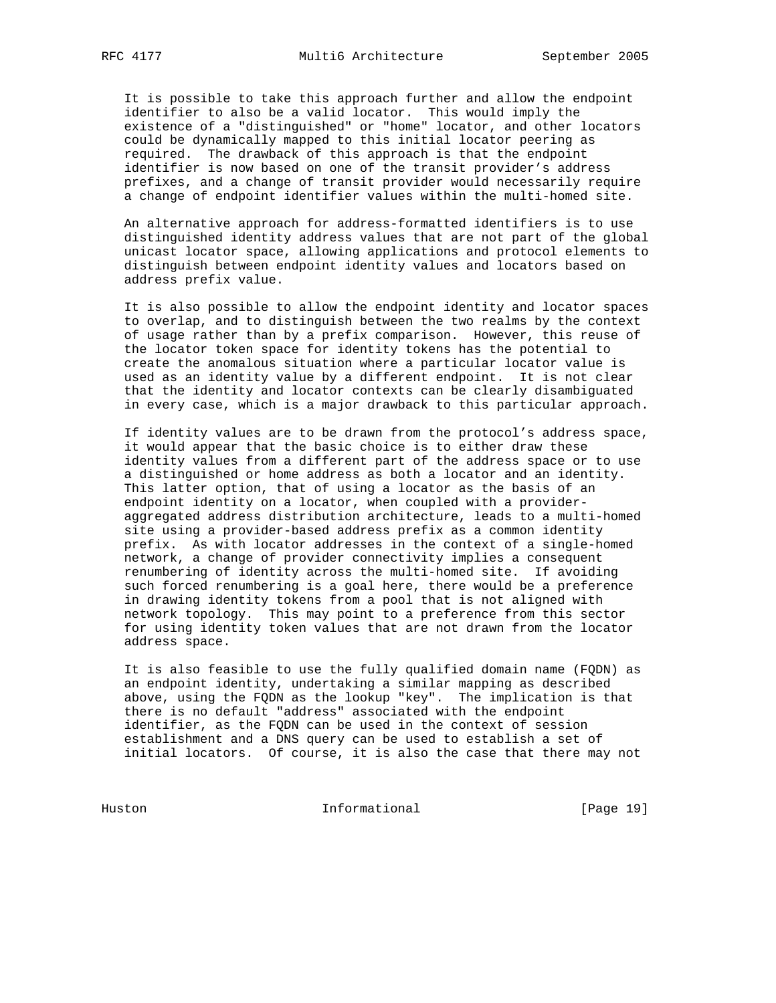It is possible to take this approach further and allow the endpoint identifier to also be a valid locator. This would imply the existence of a "distinguished" or "home" locator, and other locators could be dynamically mapped to this initial locator peering as required. The drawback of this approach is that the endpoint identifier is now based on one of the transit provider's address prefixes, and a change of transit provider would necessarily require a change of endpoint identifier values within the multi-homed site.

 An alternative approach for address-formatted identifiers is to use distinguished identity address values that are not part of the global unicast locator space, allowing applications and protocol elements to distinguish between endpoint identity values and locators based on address prefix value.

 It is also possible to allow the endpoint identity and locator spaces to overlap, and to distinguish between the two realms by the context of usage rather than by a prefix comparison. However, this reuse of the locator token space for identity tokens has the potential to create the anomalous situation where a particular locator value is used as an identity value by a different endpoint. It is not clear that the identity and locator contexts can be clearly disambiguated in every case, which is a major drawback to this particular approach.

 If identity values are to be drawn from the protocol's address space, it would appear that the basic choice is to either draw these identity values from a different part of the address space or to use a distinguished or home address as both a locator and an identity. This latter option, that of using a locator as the basis of an endpoint identity on a locator, when coupled with a provider aggregated address distribution architecture, leads to a multi-homed site using a provider-based address prefix as a common identity prefix. As with locator addresses in the context of a single-homed network, a change of provider connectivity implies a consequent renumbering of identity across the multi-homed site. If avoiding such forced renumbering is a goal here, there would be a preference in drawing identity tokens from a pool that is not aligned with network topology. This may point to a preference from this sector for using identity token values that are not drawn from the locator address space.

 It is also feasible to use the fully qualified domain name (FQDN) as an endpoint identity, undertaking a similar mapping as described above, using the FQDN as the lookup "key". The implication is that there is no default "address" associated with the endpoint identifier, as the FQDN can be used in the context of session establishment and a DNS query can be used to establish a set of initial locators. Of course, it is also the case that there may not

Huston Informational [Page 19]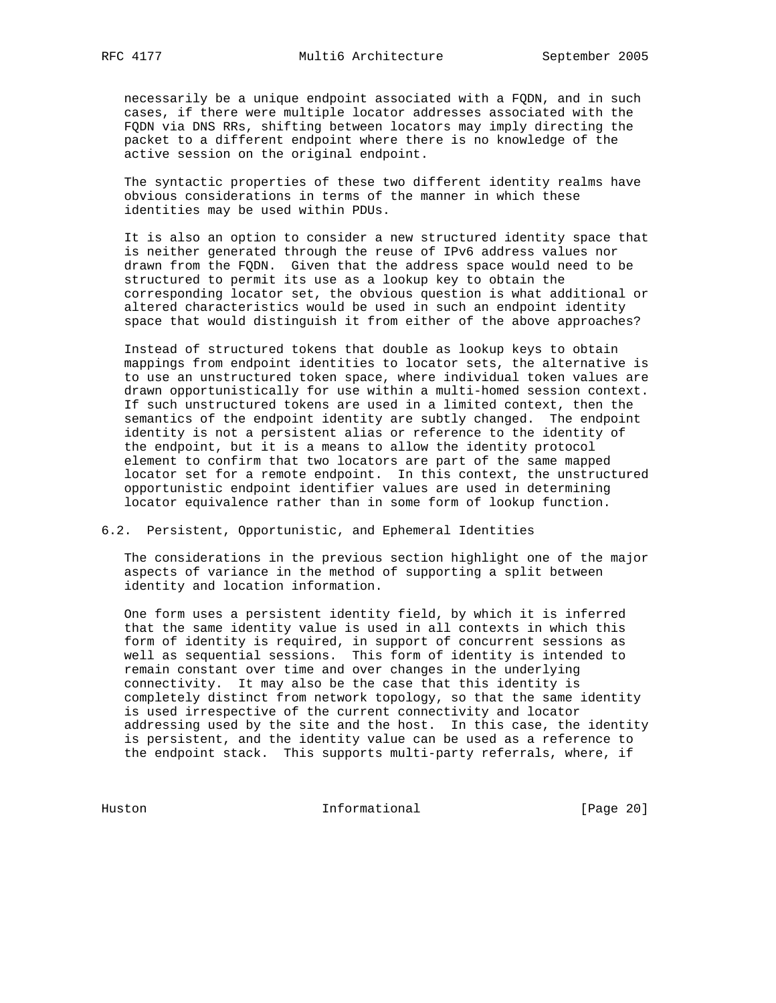necessarily be a unique endpoint associated with a FQDN, and in such cases, if there were multiple locator addresses associated with the FQDN via DNS RRs, shifting between locators may imply directing the packet to a different endpoint where there is no knowledge of the active session on the original endpoint.

 The syntactic properties of these two different identity realms have obvious considerations in terms of the manner in which these identities may be used within PDUs.

 It is also an option to consider a new structured identity space that is neither generated through the reuse of IPv6 address values nor drawn from the FQDN. Given that the address space would need to be structured to permit its use as a lookup key to obtain the corresponding locator set, the obvious question is what additional or altered characteristics would be used in such an endpoint identity space that would distinguish it from either of the above approaches?

 Instead of structured tokens that double as lookup keys to obtain mappings from endpoint identities to locator sets, the alternative is to use an unstructured token space, where individual token values are drawn opportunistically for use within a multi-homed session context. If such unstructured tokens are used in a limited context, then the semantics of the endpoint identity are subtly changed. The endpoint identity is not a persistent alias or reference to the identity of the endpoint, but it is a means to allow the identity protocol element to confirm that two locators are part of the same mapped locator set for a remote endpoint. In this context, the unstructured opportunistic endpoint identifier values are used in determining locator equivalence rather than in some form of lookup function.

#### 6.2. Persistent, Opportunistic, and Ephemeral Identities

 The considerations in the previous section highlight one of the major aspects of variance in the method of supporting a split between identity and location information.

 One form uses a persistent identity field, by which it is inferred that the same identity value is used in all contexts in which this form of identity is required, in support of concurrent sessions as well as sequential sessions. This form of identity is intended to remain constant over time and over changes in the underlying connectivity. It may also be the case that this identity is completely distinct from network topology, so that the same identity is used irrespective of the current connectivity and locator addressing used by the site and the host. In this case, the identity is persistent, and the identity value can be used as a reference to the endpoint stack. This supports multi-party referrals, where, if

Huston Informational [Page 20]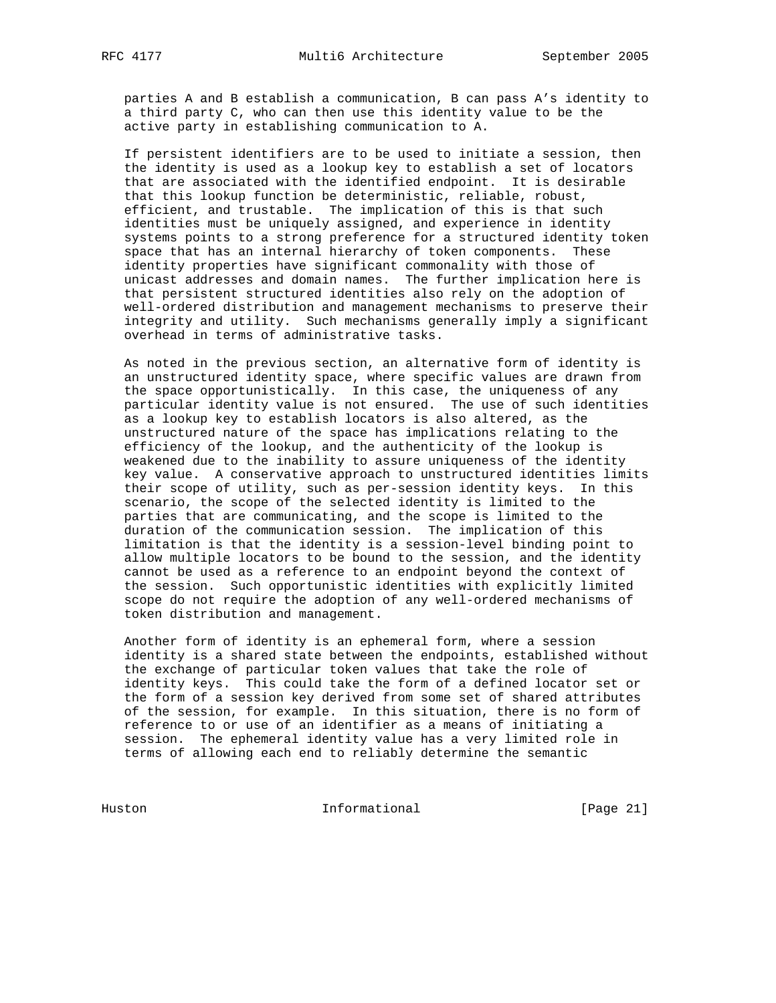parties A and B establish a communication, B can pass A's identity to a third party C, who can then use this identity value to be the active party in establishing communication to A.

 If persistent identifiers are to be used to initiate a session, then the identity is used as a lookup key to establish a set of locators that are associated with the identified endpoint. It is desirable that this lookup function be deterministic, reliable, robust, efficient, and trustable. The implication of this is that such identities must be uniquely assigned, and experience in identity systems points to a strong preference for a structured identity token space that has an internal hierarchy of token components. These identity properties have significant commonality with those of unicast addresses and domain names. The further implication here is that persistent structured identities also rely on the adoption of well-ordered distribution and management mechanisms to preserve their integrity and utility. Such mechanisms generally imply a significant overhead in terms of administrative tasks.

 As noted in the previous section, an alternative form of identity is an unstructured identity space, where specific values are drawn from the space opportunistically. In this case, the uniqueness of any particular identity value is not ensured. The use of such identities as a lookup key to establish locators is also altered, as the unstructured nature of the space has implications relating to the efficiency of the lookup, and the authenticity of the lookup is weakened due to the inability to assure uniqueness of the identity key value. A conservative approach to unstructured identities limits their scope of utility, such as per-session identity keys. In this scenario, the scope of the selected identity is limited to the parties that are communicating, and the scope is limited to the duration of the communication session. The implication of this limitation is that the identity is a session-level binding point to allow multiple locators to be bound to the session, and the identity cannot be used as a reference to an endpoint beyond the context of the session. Such opportunistic identities with explicitly limited scope do not require the adoption of any well-ordered mechanisms of token distribution and management.

 Another form of identity is an ephemeral form, where a session identity is a shared state between the endpoints, established without the exchange of particular token values that take the role of identity keys. This could take the form of a defined locator set or the form of a session key derived from some set of shared attributes of the session, for example. In this situation, there is no form of reference to or use of an identifier as a means of initiating a session. The ephemeral identity value has a very limited role in terms of allowing each end to reliably determine the semantic

Huston Informational [Page 21]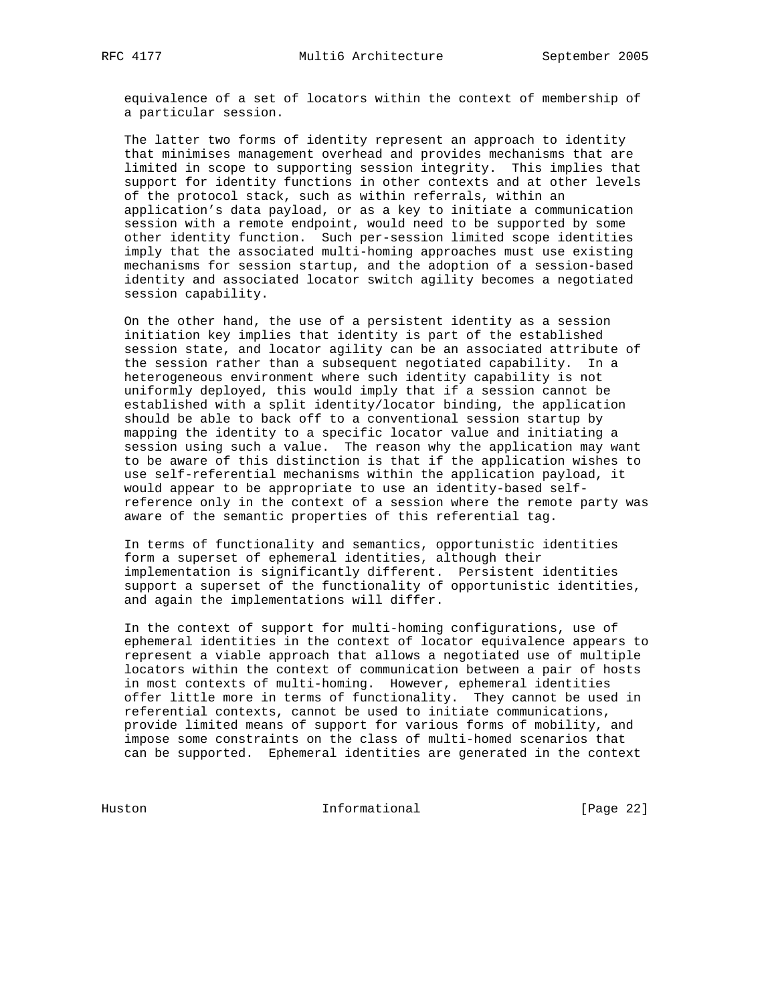equivalence of a set of locators within the context of membership of a particular session.

 The latter two forms of identity represent an approach to identity that minimises management overhead and provides mechanisms that are limited in scope to supporting session integrity. This implies that support for identity functions in other contexts and at other levels of the protocol stack, such as within referrals, within an application's data payload, or as a key to initiate a communication session with a remote endpoint, would need to be supported by some other identity function. Such per-session limited scope identities imply that the associated multi-homing approaches must use existing mechanisms for session startup, and the adoption of a session-based identity and associated locator switch agility becomes a negotiated session capability.

 On the other hand, the use of a persistent identity as a session initiation key implies that identity is part of the established session state, and locator agility can be an associated attribute of the session rather than a subsequent negotiated capability. In a heterogeneous environment where such identity capability is not uniformly deployed, this would imply that if a session cannot be established with a split identity/locator binding, the application should be able to back off to a conventional session startup by mapping the identity to a specific locator value and initiating a session using such a value. The reason why the application may want to be aware of this distinction is that if the application wishes to use self-referential mechanisms within the application payload, it would appear to be appropriate to use an identity-based self reference only in the context of a session where the remote party was aware of the semantic properties of this referential tag.

 In terms of functionality and semantics, opportunistic identities form a superset of ephemeral identities, although their implementation is significantly different. Persistent identities support a superset of the functionality of opportunistic identities, and again the implementations will differ.

 In the context of support for multi-homing configurations, use of ephemeral identities in the context of locator equivalence appears to represent a viable approach that allows a negotiated use of multiple locators within the context of communication between a pair of hosts in most contexts of multi-homing. However, ephemeral identities offer little more in terms of functionality. They cannot be used in referential contexts, cannot be used to initiate communications, provide limited means of support for various forms of mobility, and impose some constraints on the class of multi-homed scenarios that can be supported. Ephemeral identities are generated in the context

Huston Informational [Page 22]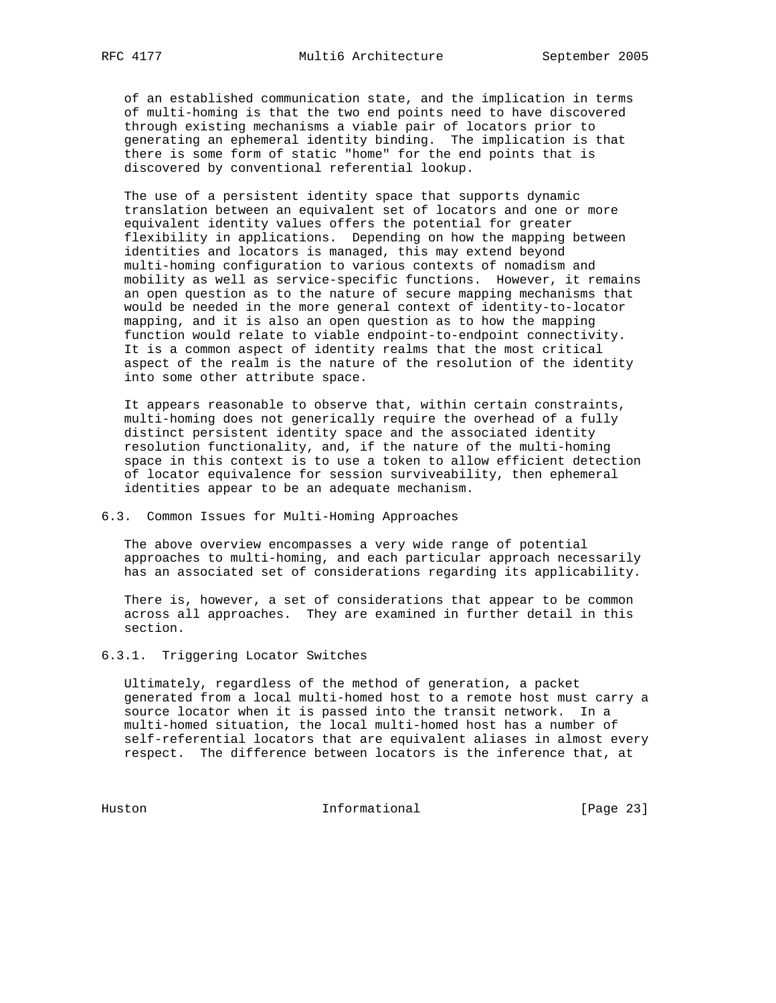of an established communication state, and the implication in terms of multi-homing is that the two end points need to have discovered through existing mechanisms a viable pair of locators prior to generating an ephemeral identity binding. The implication is that there is some form of static "home" for the end points that is discovered by conventional referential lookup.

 The use of a persistent identity space that supports dynamic translation between an equivalent set of locators and one or more equivalent identity values offers the potential for greater flexibility in applications. Depending on how the mapping between identities and locators is managed, this may extend beyond multi-homing configuration to various contexts of nomadism and mobility as well as service-specific functions. However, it remains an open question as to the nature of secure mapping mechanisms that would be needed in the more general context of identity-to-locator mapping, and it is also an open question as to how the mapping function would relate to viable endpoint-to-endpoint connectivity. It is a common aspect of identity realms that the most critical aspect of the realm is the nature of the resolution of the identity into some other attribute space.

 It appears reasonable to observe that, within certain constraints, multi-homing does not generically require the overhead of a fully distinct persistent identity space and the associated identity resolution functionality, and, if the nature of the multi-homing space in this context is to use a token to allow efficient detection of locator equivalence for session surviveability, then ephemeral identities appear to be an adequate mechanism.

# 6.3. Common Issues for Multi-Homing Approaches

 The above overview encompasses a very wide range of potential approaches to multi-homing, and each particular approach necessarily has an associated set of considerations regarding its applicability.

 There is, however, a set of considerations that appear to be common across all approaches. They are examined in further detail in this section.

# 6.3.1. Triggering Locator Switches

 Ultimately, regardless of the method of generation, a packet generated from a local multi-homed host to a remote host must carry a source locator when it is passed into the transit network. In a multi-homed situation, the local multi-homed host has a number of self-referential locators that are equivalent aliases in almost every respect. The difference between locators is the inference that, at

Huston Informational [Page 23]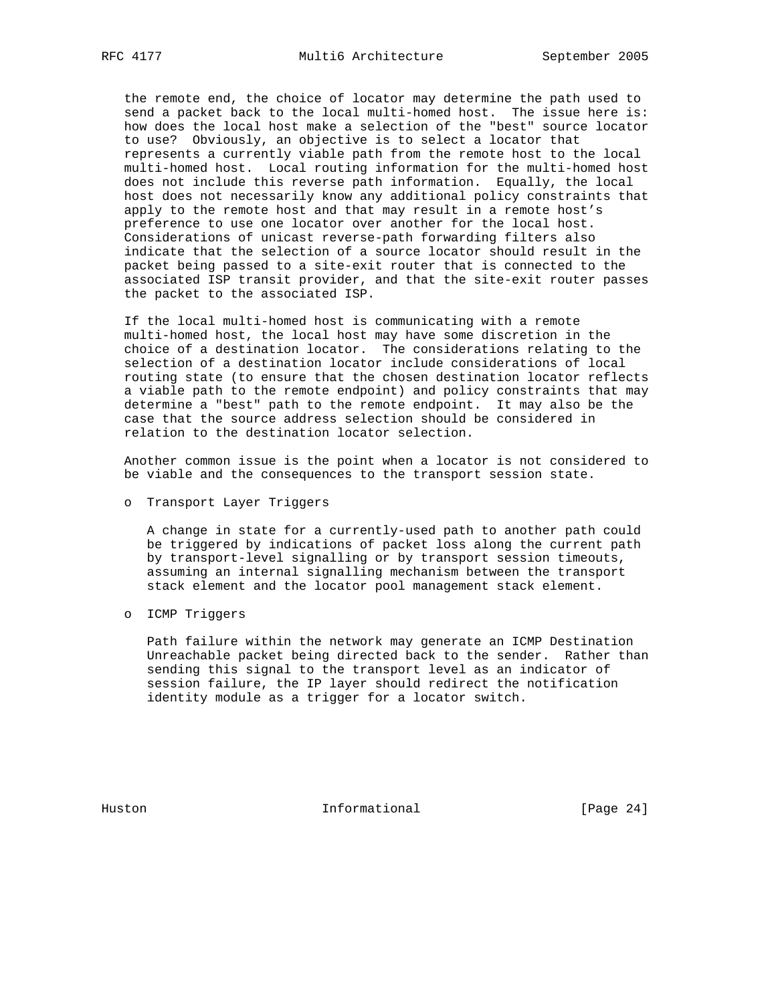the remote end, the choice of locator may determine the path used to send a packet back to the local multi-homed host. The issue here is: how does the local host make a selection of the "best" source locator to use? Obviously, an objective is to select a locator that represents a currently viable path from the remote host to the local multi-homed host. Local routing information for the multi-homed host does not include this reverse path information. Equally, the local host does not necessarily know any additional policy constraints that apply to the remote host and that may result in a remote host's preference to use one locator over another for the local host. Considerations of unicast reverse-path forwarding filters also indicate that the selection of a source locator should result in the packet being passed to a site-exit router that is connected to the associated ISP transit provider, and that the site-exit router passes the packet to the associated ISP.

 If the local multi-homed host is communicating with a remote multi-homed host, the local host may have some discretion in the choice of a destination locator. The considerations relating to the selection of a destination locator include considerations of local routing state (to ensure that the chosen destination locator reflects a viable path to the remote endpoint) and policy constraints that may determine a "best" path to the remote endpoint. It may also be the case that the source address selection should be considered in relation to the destination locator selection.

 Another common issue is the point when a locator is not considered to be viable and the consequences to the transport session state.

o Transport Layer Triggers

 A change in state for a currently-used path to another path could be triggered by indications of packet loss along the current path by transport-level signalling or by transport session timeouts, assuming an internal signalling mechanism between the transport stack element and the locator pool management stack element.

o ICMP Triggers

 Path failure within the network may generate an ICMP Destination Unreachable packet being directed back to the sender. Rather than sending this signal to the transport level as an indicator of session failure, the IP layer should redirect the notification identity module as a trigger for a locator switch.

Huston **Informational Informational** [Page 24]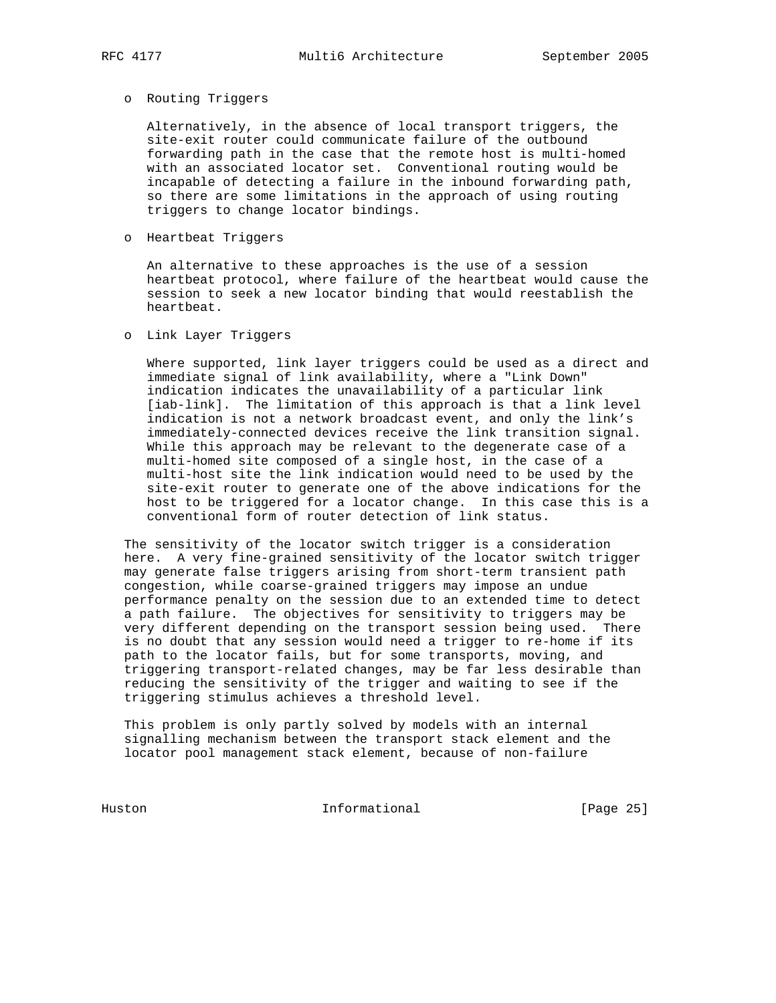### o Routing Triggers

 Alternatively, in the absence of local transport triggers, the site-exit router could communicate failure of the outbound forwarding path in the case that the remote host is multi-homed with an associated locator set. Conventional routing would be incapable of detecting a failure in the inbound forwarding path, so there are some limitations in the approach of using routing triggers to change locator bindings.

# o Heartbeat Triggers

 An alternative to these approaches is the use of a session heartbeat protocol, where failure of the heartbeat would cause the session to seek a new locator binding that would reestablish the heartbeat.

# o Link Layer Triggers

 Where supported, link layer triggers could be used as a direct and immediate signal of link availability, where a "Link Down" indication indicates the unavailability of a particular link [iab-link]. The limitation of this approach is that a link level indication is not a network broadcast event, and only the link's immediately-connected devices receive the link transition signal. While this approach may be relevant to the degenerate case of a multi-homed site composed of a single host, in the case of a multi-host site the link indication would need to be used by the site-exit router to generate one of the above indications for the host to be triggered for a locator change. In this case this is a conventional form of router detection of link status.

 The sensitivity of the locator switch trigger is a consideration here. A very fine-grained sensitivity of the locator switch trigger may generate false triggers arising from short-term transient path congestion, while coarse-grained triggers may impose an undue performance penalty on the session due to an extended time to detect a path failure. The objectives for sensitivity to triggers may be very different depending on the transport session being used. There is no doubt that any session would need a trigger to re-home if its path to the locator fails, but for some transports, moving, and triggering transport-related changes, may be far less desirable than reducing the sensitivity of the trigger and waiting to see if the triggering stimulus achieves a threshold level.

 This problem is only partly solved by models with an internal signalling mechanism between the transport stack element and the locator pool management stack element, because of non-failure

Huston Informational [Page 25]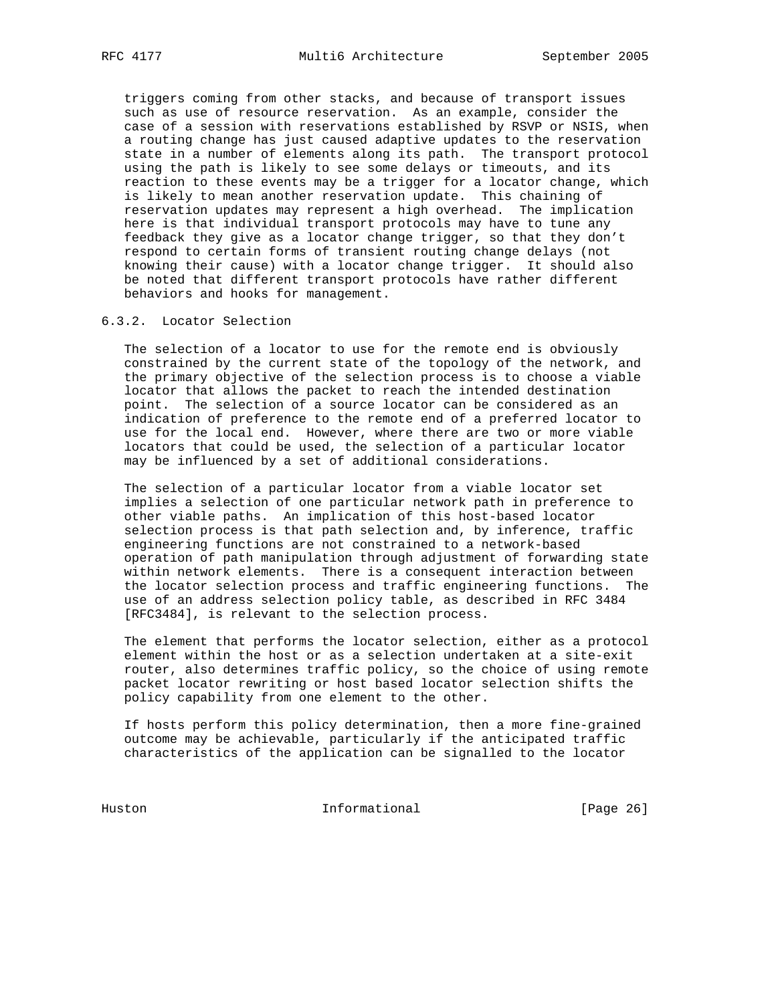triggers coming from other stacks, and because of transport issues such as use of resource reservation. As an example, consider the case of a session with reservations established by RSVP or NSIS, when a routing change has just caused adaptive updates to the reservation state in a number of elements along its path. The transport protocol using the path is likely to see some delays or timeouts, and its reaction to these events may be a trigger for a locator change, which is likely to mean another reservation update. This chaining of reservation updates may represent a high overhead. The implication here is that individual transport protocols may have to tune any feedback they give as a locator change trigger, so that they don't respond to certain forms of transient routing change delays (not knowing their cause) with a locator change trigger. It should also be noted that different transport protocols have rather different behaviors and hooks for management.

# 6.3.2. Locator Selection

 The selection of a locator to use for the remote end is obviously constrained by the current state of the topology of the network, and the primary objective of the selection process is to choose a viable locator that allows the packet to reach the intended destination point. The selection of a source locator can be considered as an indication of preference to the remote end of a preferred locator to use for the local end. However, where there are two or more viable locators that could be used, the selection of a particular locator may be influenced by a set of additional considerations.

 The selection of a particular locator from a viable locator set implies a selection of one particular network path in preference to other viable paths. An implication of this host-based locator selection process is that path selection and, by inference, traffic engineering functions are not constrained to a network-based operation of path manipulation through adjustment of forwarding state within network elements. There is a consequent interaction between the locator selection process and traffic engineering functions. The use of an address selection policy table, as described in RFC 3484 [RFC3484], is relevant to the selection process.

 The element that performs the locator selection, either as a protocol element within the host or as a selection undertaken at a site-exit router, also determines traffic policy, so the choice of using remote packet locator rewriting or host based locator selection shifts the policy capability from one element to the other.

 If hosts perform this policy determination, then a more fine-grained outcome may be achievable, particularly if the anticipated traffic characteristics of the application can be signalled to the locator

Huston Informational [Page 26]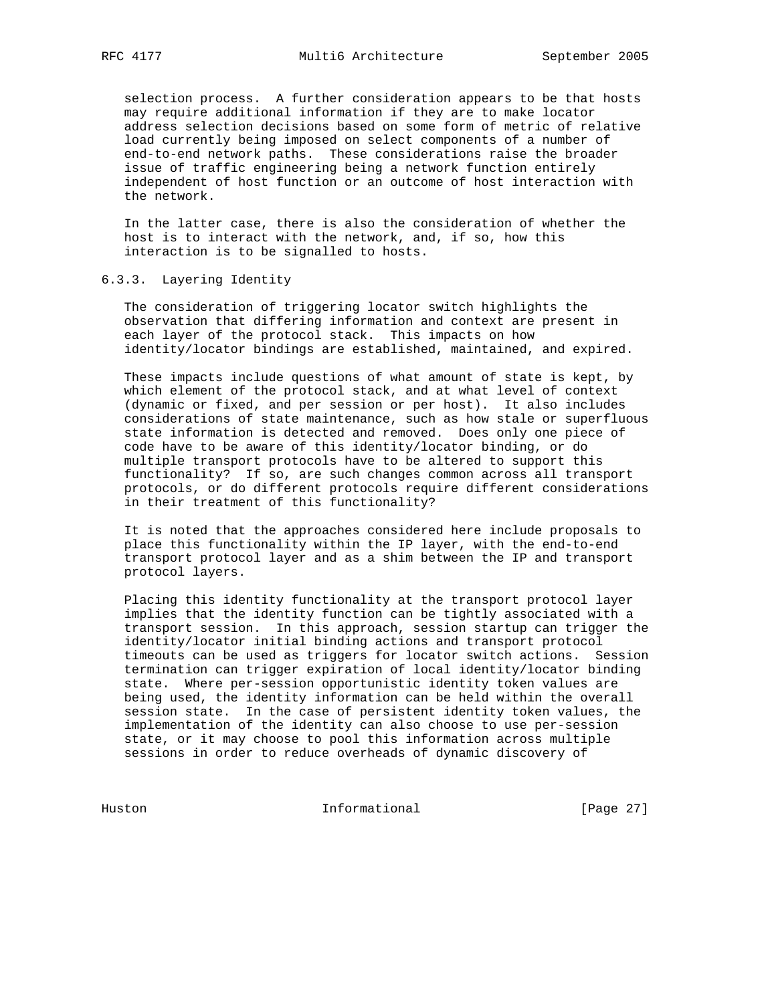selection process. A further consideration appears to be that hosts may require additional information if they are to make locator address selection decisions based on some form of metric of relative load currently being imposed on select components of a number of end-to-end network paths. These considerations raise the broader issue of traffic engineering being a network function entirely independent of host function or an outcome of host interaction with the network.

 In the latter case, there is also the consideration of whether the host is to interact with the network, and, if so, how this interaction is to be signalled to hosts.

# 6.3.3. Layering Identity

 The consideration of triggering locator switch highlights the observation that differing information and context are present in each layer of the protocol stack. This impacts on how identity/locator bindings are established, maintained, and expired.

 These impacts include questions of what amount of state is kept, by which element of the protocol stack, and at what level of context (dynamic or fixed, and per session or per host). It also includes considerations of state maintenance, such as how stale or superfluous state information is detected and removed. Does only one piece of code have to be aware of this identity/locator binding, or do multiple transport protocols have to be altered to support this functionality? If so, are such changes common across all transport protocols, or do different protocols require different considerations in their treatment of this functionality?

 It is noted that the approaches considered here include proposals to place this functionality within the IP layer, with the end-to-end transport protocol layer and as a shim between the IP and transport protocol layers.

 Placing this identity functionality at the transport protocol layer implies that the identity function can be tightly associated with a transport session. In this approach, session startup can trigger the identity/locator initial binding actions and transport protocol timeouts can be used as triggers for locator switch actions. Session termination can trigger expiration of local identity/locator binding state. Where per-session opportunistic identity token values are being used, the identity information can be held within the overall session state. In the case of persistent identity token values, the implementation of the identity can also choose to use per-session state, or it may choose to pool this information across multiple sessions in order to reduce overheads of dynamic discovery of

Huston Informational [Page 27]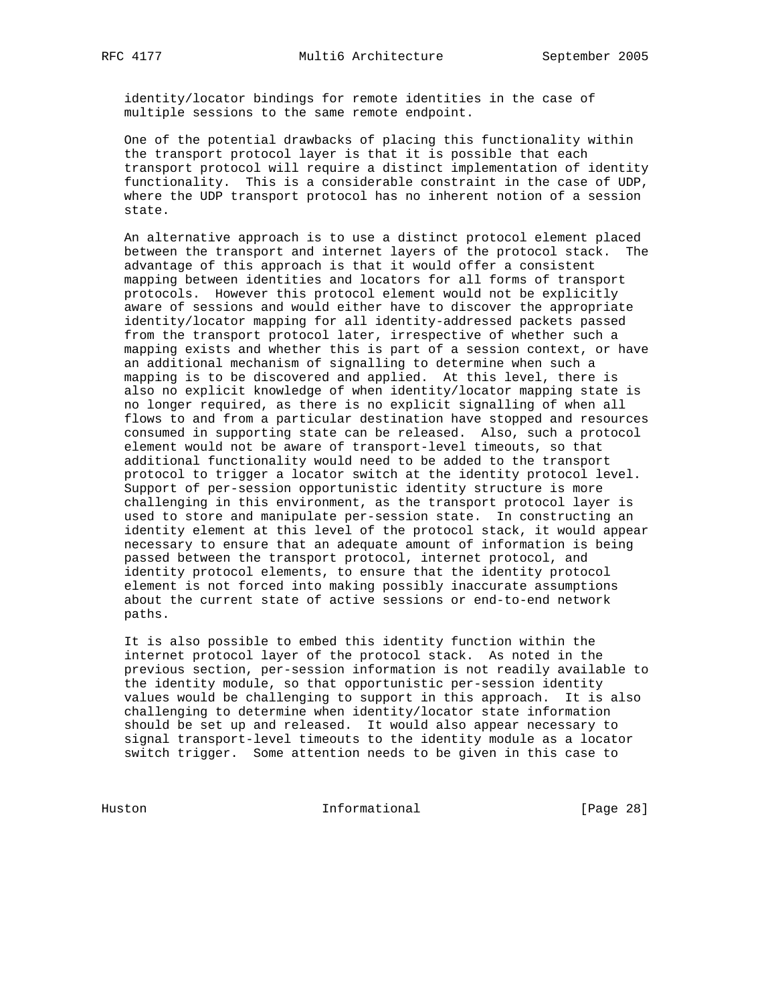identity/locator bindings for remote identities in the case of multiple sessions to the same remote endpoint.

 One of the potential drawbacks of placing this functionality within the transport protocol layer is that it is possible that each transport protocol will require a distinct implementation of identity functionality. This is a considerable constraint in the case of UDP, where the UDP transport protocol has no inherent notion of a session state.

 An alternative approach is to use a distinct protocol element placed between the transport and internet layers of the protocol stack. The advantage of this approach is that it would offer a consistent mapping between identities and locators for all forms of transport protocols. However this protocol element would not be explicitly aware of sessions and would either have to discover the appropriate identity/locator mapping for all identity-addressed packets passed from the transport protocol later, irrespective of whether such a mapping exists and whether this is part of a session context, or have an additional mechanism of signalling to determine when such a mapping is to be discovered and applied. At this level, there is also no explicit knowledge of when identity/locator mapping state is no longer required, as there is no explicit signalling of when all flows to and from a particular destination have stopped and resources consumed in supporting state can be released. Also, such a protocol element would not be aware of transport-level timeouts, so that additional functionality would need to be added to the transport protocol to trigger a locator switch at the identity protocol level. Support of per-session opportunistic identity structure is more challenging in this environment, as the transport protocol layer is used to store and manipulate per-session state. In constructing an identity element at this level of the protocol stack, it would appear necessary to ensure that an adequate amount of information is being passed between the transport protocol, internet protocol, and identity protocol elements, to ensure that the identity protocol element is not forced into making possibly inaccurate assumptions about the current state of active sessions or end-to-end network paths.

 It is also possible to embed this identity function within the internet protocol layer of the protocol stack. As noted in the previous section, per-session information is not readily available to the identity module, so that opportunistic per-session identity values would be challenging to support in this approach. It is also challenging to determine when identity/locator state information should be set up and released. It would also appear necessary to signal transport-level timeouts to the identity module as a locator switch trigger. Some attention needs to be given in this case to

Huston Informational [Page 28]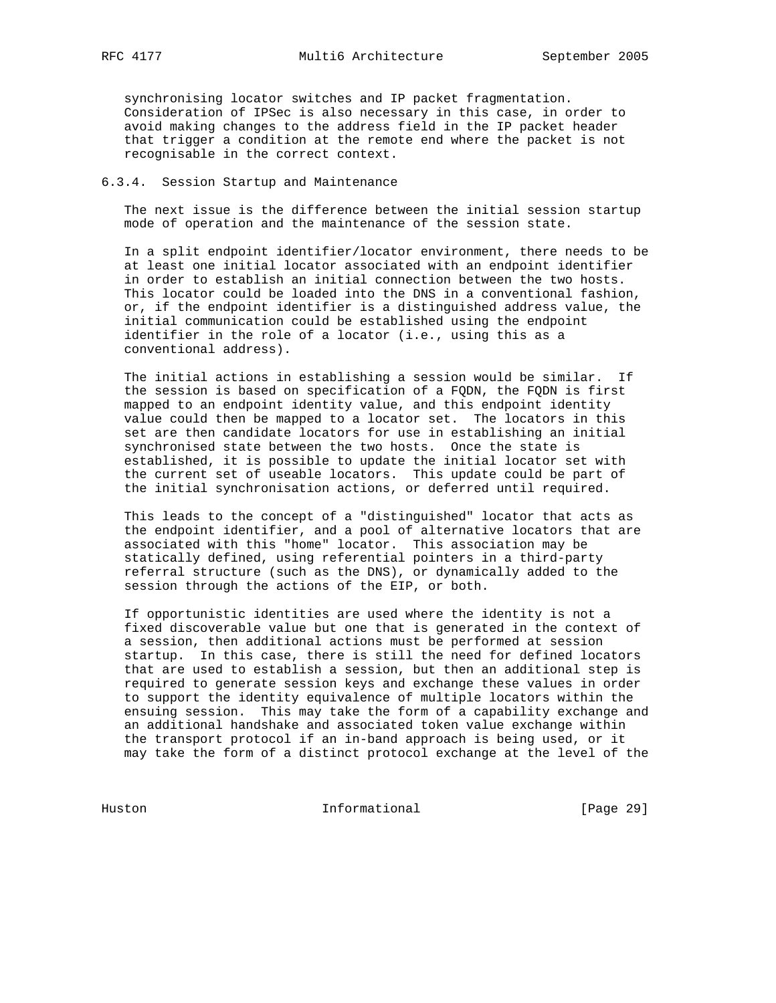synchronising locator switches and IP packet fragmentation. Consideration of IPSec is also necessary in this case, in order to avoid making changes to the address field in the IP packet header that trigger a condition at the remote end where the packet is not recognisable in the correct context.

# 6.3.4. Session Startup and Maintenance

 The next issue is the difference between the initial session startup mode of operation and the maintenance of the session state.

 In a split endpoint identifier/locator environment, there needs to be at least one initial locator associated with an endpoint identifier in order to establish an initial connection between the two hosts. This locator could be loaded into the DNS in a conventional fashion, or, if the endpoint identifier is a distinguished address value, the initial communication could be established using the endpoint identifier in the role of a locator (i.e., using this as a conventional address).

 The initial actions in establishing a session would be similar. If the session is based on specification of a FQDN, the FQDN is first mapped to an endpoint identity value, and this endpoint identity value could then be mapped to a locator set. The locators in this set are then candidate locators for use in establishing an initial synchronised state between the two hosts. Once the state is established, it is possible to update the initial locator set with the current set of useable locators. This update could be part of the initial synchronisation actions, or deferred until required.

 This leads to the concept of a "distinguished" locator that acts as the endpoint identifier, and a pool of alternative locators that are associated with this "home" locator. This association may be statically defined, using referential pointers in a third-party referral structure (such as the DNS), or dynamically added to the session through the actions of the EIP, or both.

 If opportunistic identities are used where the identity is not a fixed discoverable value but one that is generated in the context of a session, then additional actions must be performed at session startup. In this case, there is still the need for defined locators that are used to establish a session, but then an additional step is required to generate session keys and exchange these values in order to support the identity equivalence of multiple locators within the ensuing session. This may take the form of a capability exchange and an additional handshake and associated token value exchange within the transport protocol if an in-band approach is being used, or it may take the form of a distinct protocol exchange at the level of the

Huston Informational [Page 29]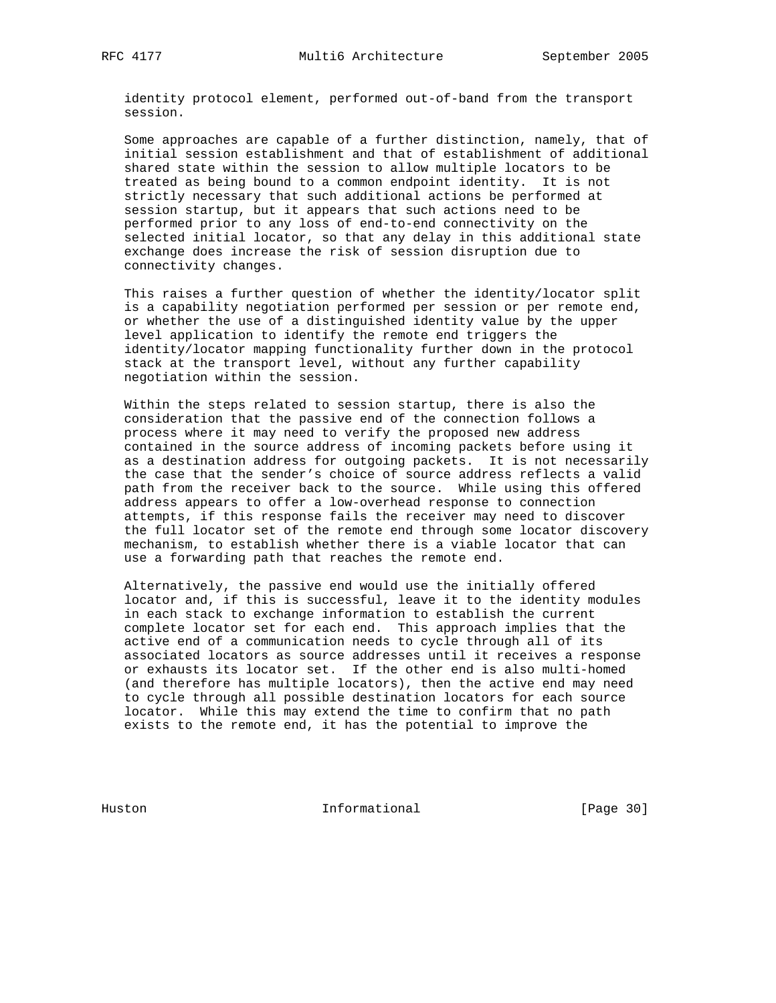identity protocol element, performed out-of-band from the transport session.

 Some approaches are capable of a further distinction, namely, that of initial session establishment and that of establishment of additional shared state within the session to allow multiple locators to be treated as being bound to a common endpoint identity. It is not strictly necessary that such additional actions be performed at session startup, but it appears that such actions need to be performed prior to any loss of end-to-end connectivity on the selected initial locator, so that any delay in this additional state exchange does increase the risk of session disruption due to connectivity changes.

 This raises a further question of whether the identity/locator split is a capability negotiation performed per session or per remote end, or whether the use of a distinguished identity value by the upper level application to identify the remote end triggers the identity/locator mapping functionality further down in the protocol stack at the transport level, without any further capability negotiation within the session.

 Within the steps related to session startup, there is also the consideration that the passive end of the connection follows a process where it may need to verify the proposed new address contained in the source address of incoming packets before using it as a destination address for outgoing packets. It is not necessarily the case that the sender's choice of source address reflects a valid path from the receiver back to the source. While using this offered address appears to offer a low-overhead response to connection attempts, if this response fails the receiver may need to discover the full locator set of the remote end through some locator discovery mechanism, to establish whether there is a viable locator that can use a forwarding path that reaches the remote end.

 Alternatively, the passive end would use the initially offered locator and, if this is successful, leave it to the identity modules in each stack to exchange information to establish the current complete locator set for each end. This approach implies that the active end of a communication needs to cycle through all of its associated locators as source addresses until it receives a response or exhausts its locator set. If the other end is also multi-homed (and therefore has multiple locators), then the active end may need to cycle through all possible destination locators for each source locator. While this may extend the time to confirm that no path exists to the remote end, it has the potential to improve the

Huston Informational [Page 30]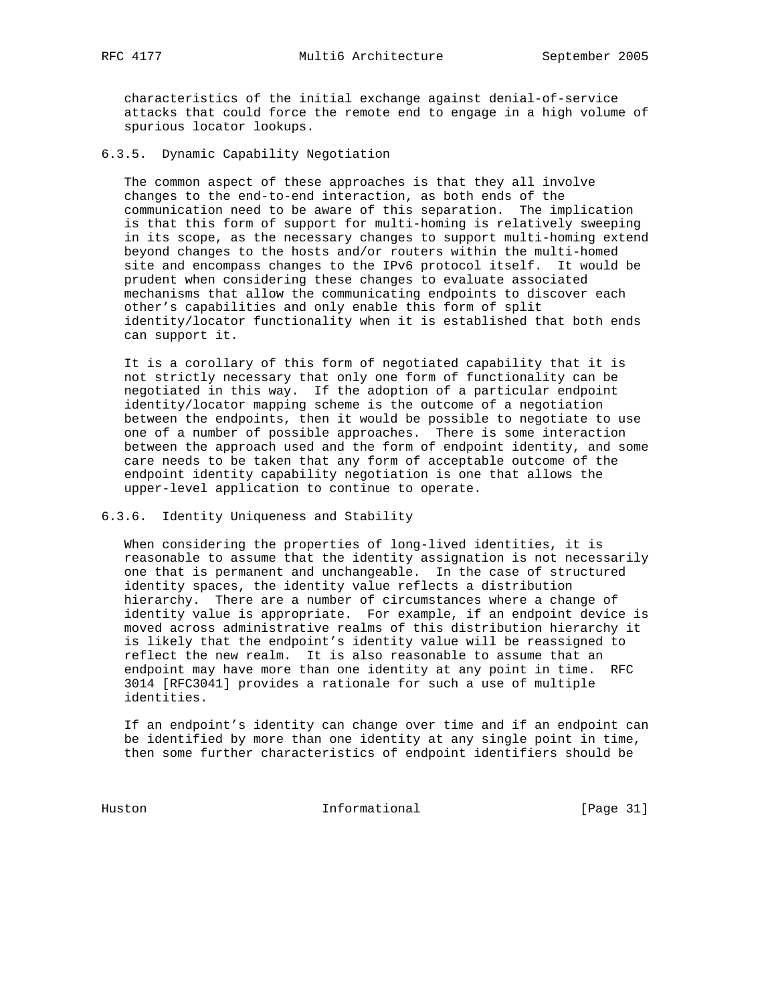characteristics of the initial exchange against denial-of-service attacks that could force the remote end to engage in a high volume of spurious locator lookups.

6.3.5. Dynamic Capability Negotiation

 The common aspect of these approaches is that they all involve changes to the end-to-end interaction, as both ends of the communication need to be aware of this separation. The implication is that this form of support for multi-homing is relatively sweeping in its scope, as the necessary changes to support multi-homing extend beyond changes to the hosts and/or routers within the multi-homed site and encompass changes to the IPv6 protocol itself. It would be prudent when considering these changes to evaluate associated mechanisms that allow the communicating endpoints to discover each other's capabilities and only enable this form of split identity/locator functionality when it is established that both ends can support it.

 It is a corollary of this form of negotiated capability that it is not strictly necessary that only one form of functionality can be negotiated in this way. If the adoption of a particular endpoint identity/locator mapping scheme is the outcome of a negotiation between the endpoints, then it would be possible to negotiate to use one of a number of possible approaches. There is some interaction between the approach used and the form of endpoint identity, and some care needs to be taken that any form of acceptable outcome of the endpoint identity capability negotiation is one that allows the upper-level application to continue to operate.

# 6.3.6. Identity Uniqueness and Stability

 When considering the properties of long-lived identities, it is reasonable to assume that the identity assignation is not necessarily one that is permanent and unchangeable. In the case of structured identity spaces, the identity value reflects a distribution hierarchy. There are a number of circumstances where a change of identity value is appropriate. For example, if an endpoint device is moved across administrative realms of this distribution hierarchy it is likely that the endpoint's identity value will be reassigned to reflect the new realm. It is also reasonable to assume that an endpoint may have more than one identity at any point in time. RFC 3014 [RFC3041] provides a rationale for such a use of multiple identities.

 If an endpoint's identity can change over time and if an endpoint can be identified by more than one identity at any single point in time, then some further characteristics of endpoint identifiers should be

Huston Informational [Page 31]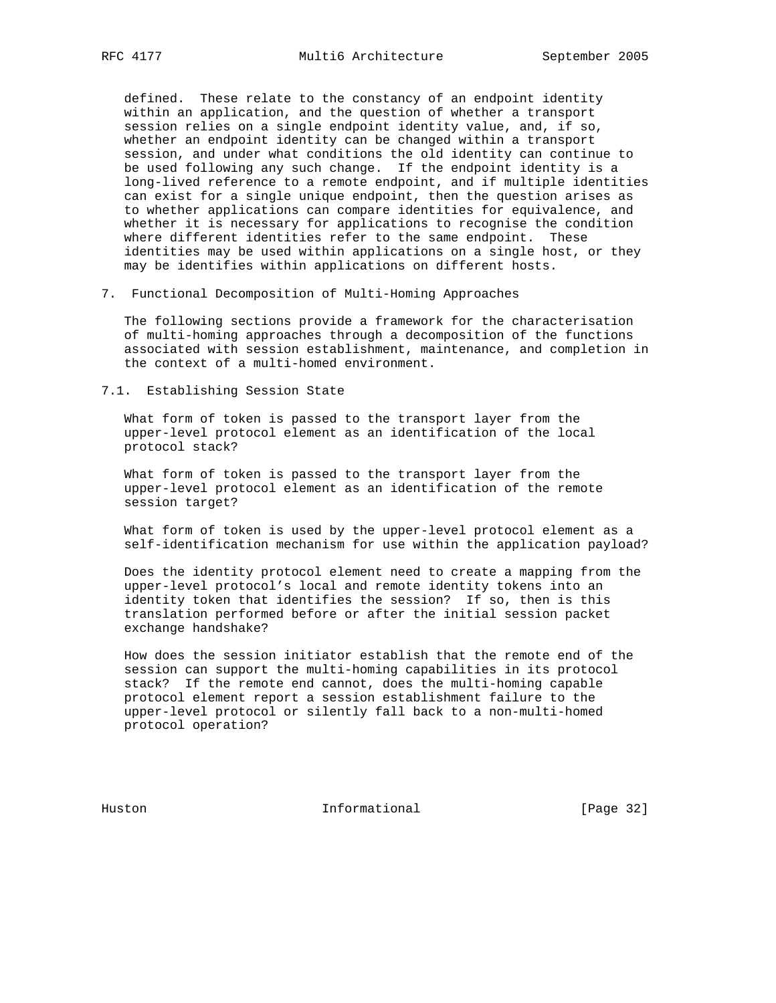defined. These relate to the constancy of an endpoint identity within an application, and the question of whether a transport session relies on a single endpoint identity value, and, if so, whether an endpoint identity can be changed within a transport session, and under what conditions the old identity can continue to be used following any such change. If the endpoint identity is a long-lived reference to a remote endpoint, and if multiple identities can exist for a single unique endpoint, then the question arises as to whether applications can compare identities for equivalence, and whether it is necessary for applications to recognise the condition where different identities refer to the same endpoint. These identities may be used within applications on a single host, or they may be identifies within applications on different hosts.

7. Functional Decomposition of Multi-Homing Approaches

 The following sections provide a framework for the characterisation of multi-homing approaches through a decomposition of the functions associated with session establishment, maintenance, and completion in the context of a multi-homed environment.

7.1. Establishing Session State

 What form of token is passed to the transport layer from the upper-level protocol element as an identification of the local protocol stack?

 What form of token is passed to the transport layer from the upper-level protocol element as an identification of the remote session target?

 What form of token is used by the upper-level protocol element as a self-identification mechanism for use within the application payload?

 Does the identity protocol element need to create a mapping from the upper-level protocol's local and remote identity tokens into an identity token that identifies the session? If so, then is this translation performed before or after the initial session packet exchange handshake?

 How does the session initiator establish that the remote end of the session can support the multi-homing capabilities in its protocol stack? If the remote end cannot, does the multi-homing capable protocol element report a session establishment failure to the upper-level protocol or silently fall back to a non-multi-homed protocol operation?

Huston **Informational Informational** [Page 32]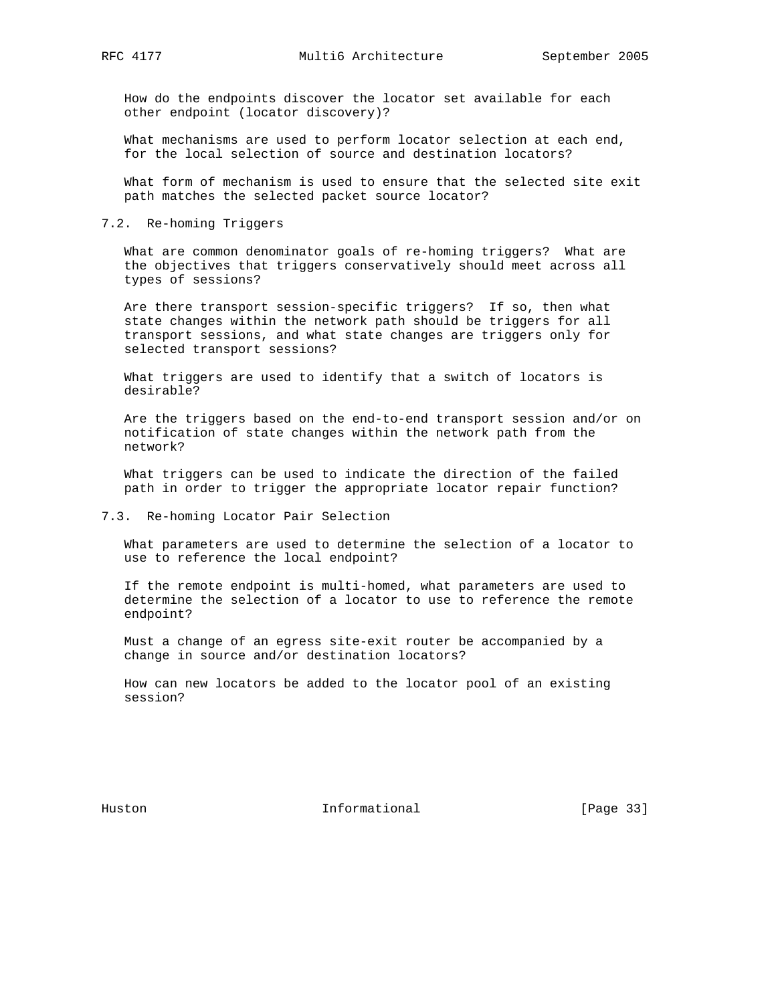How do the endpoints discover the locator set available for each other endpoint (locator discovery)?

 What mechanisms are used to perform locator selection at each end, for the local selection of source and destination locators?

 What form of mechanism is used to ensure that the selected site exit path matches the selected packet source locator?

# 7.2. Re-homing Triggers

 What are common denominator goals of re-homing triggers? What are the objectives that triggers conservatively should meet across all types of sessions?

 Are there transport session-specific triggers? If so, then what state changes within the network path should be triggers for all transport sessions, and what state changes are triggers only for selected transport sessions?

 What triggers are used to identify that a switch of locators is desirable?

 Are the triggers based on the end-to-end transport session and/or on notification of state changes within the network path from the network?

 What triggers can be used to indicate the direction of the failed path in order to trigger the appropriate locator repair function?

# 7.3. Re-homing Locator Pair Selection

 What parameters are used to determine the selection of a locator to use to reference the local endpoint?

 If the remote endpoint is multi-homed, what parameters are used to determine the selection of a locator to use to reference the remote endpoint?

 Must a change of an egress site-exit router be accompanied by a change in source and/or destination locators?

 How can new locators be added to the locator pool of an existing session?

Huston **Informational Informational** [Page 33]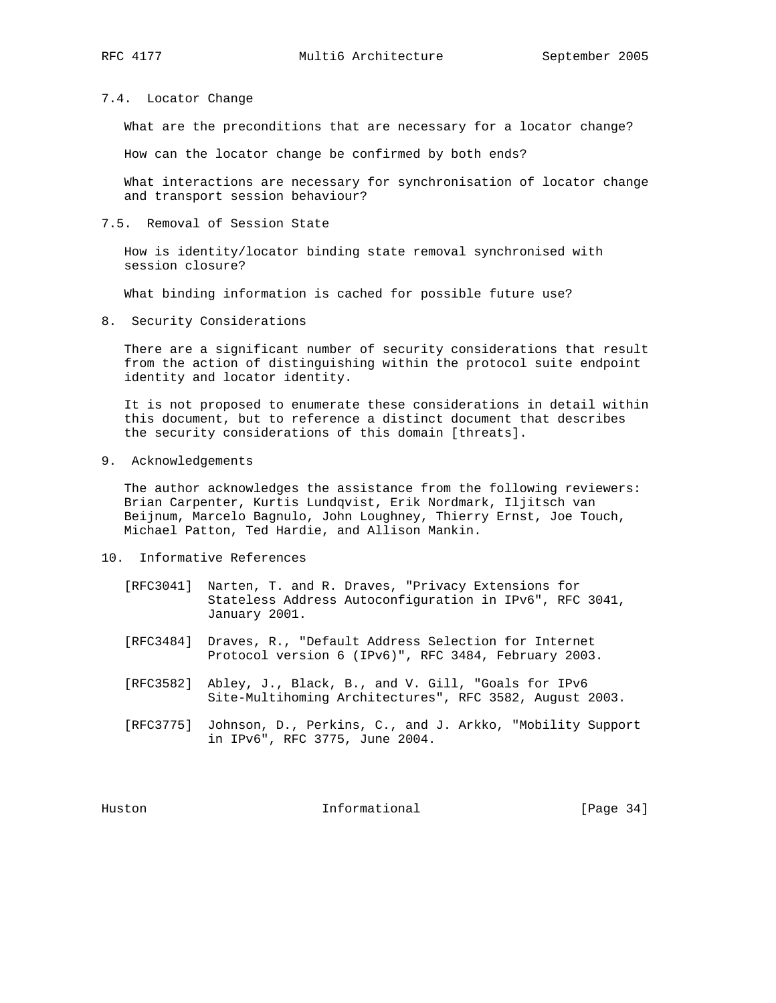#### 7.4. Locator Change

What are the preconditions that are necessary for a locator change?

How can the locator change be confirmed by both ends?

 What interactions are necessary for synchronisation of locator change and transport session behaviour?

# 7.5. Removal of Session State

 How is identity/locator binding state removal synchronised with session closure?

What binding information is cached for possible future use?

8. Security Considerations

 There are a significant number of security considerations that result from the action of distinguishing within the protocol suite endpoint identity and locator identity.

 It is not proposed to enumerate these considerations in detail within this document, but to reference a distinct document that describes the security considerations of this domain [threats].

9. Acknowledgements

 The author acknowledges the assistance from the following reviewers: Brian Carpenter, Kurtis Lundqvist, Erik Nordmark, Iljitsch van Beijnum, Marcelo Bagnulo, John Loughney, Thierry Ernst, Joe Touch, Michael Patton, Ted Hardie, and Allison Mankin.

- 10. Informative References
	- [RFC3041] Narten, T. and R. Draves, "Privacy Extensions for Stateless Address Autoconfiguration in IPv6", RFC 3041, January 2001.
	- [RFC3484] Draves, R., "Default Address Selection for Internet Protocol version 6 (IPv6)", RFC 3484, February 2003.
	- [RFC3582] Abley, J., Black, B., and V. Gill, "Goals for IPv6 Site-Multihoming Architectures", RFC 3582, August 2003.
	- [RFC3775] Johnson, D., Perkins, C., and J. Arkko, "Mobility Support in IPv6", RFC 3775, June 2004.

Huston **Informational Informational** [Page 34]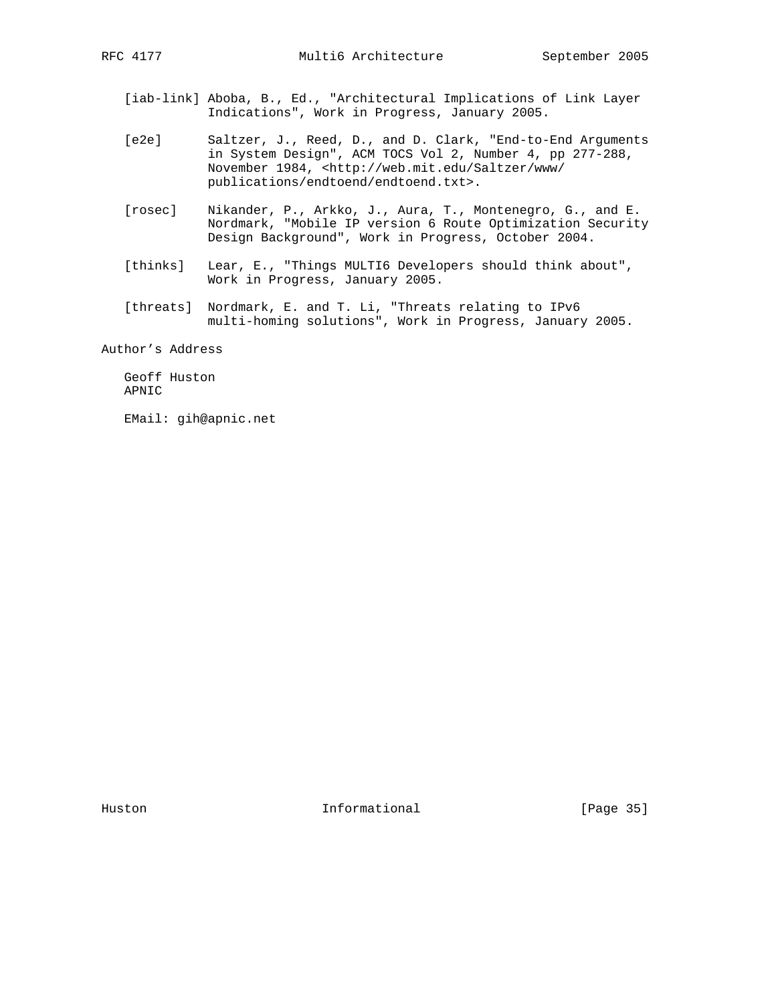- [iab-link] Aboba, B., Ed., "Architectural Implications of Link Layer Indications", Work in Progress, January 2005.
- [e2e] Saltzer, J., Reed, D., and D. Clark, "End-to-End Arguments in System Design", ACM TOCS Vol 2, Number 4, pp 277-288, November 1984, <http://web.mit.edu/Saltzer/www/ publications/endtoend/endtoend.txt>.
- [rosec] Nikander, P., Arkko, J., Aura, T., Montenegro, G., and E. Nordmark, "Mobile IP version 6 Route Optimization Security Design Background", Work in Progress, October 2004.
- [thinks] Lear, E., "Things MULTI6 Developers should think about", Work in Progress, January 2005.
- [threats] Nordmark, E. and T. Li, "Threats relating to IPv6 multi-homing solutions", Work in Progress, January 2005.

Author's Address

 Geoff Huston APNIC

EMail: gih@apnic.net

Huston **Informational Informational** [Page 35]